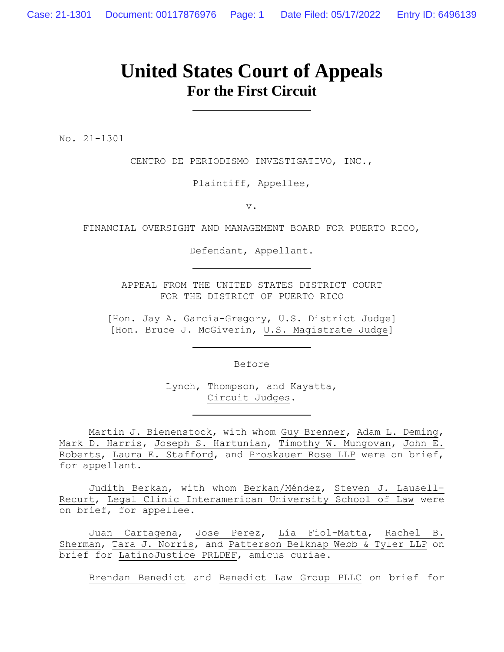# **United States Court of Appeals For the First Circuit**

No. 21-1301

CENTRO DE PERIODISMO INVESTIGATIVO, INC.,

Plaintiff, Appellee,

v.

FINANCIAL OVERSIGHT AND MANAGEMENT BOARD FOR PUERTO RICO,

Defendant, Appellant.

APPEAL FROM THE UNITED STATES DISTRICT COURT FOR THE DISTRICT OF PUERTO RICO

[Hon. Jay A. García-Gregory, U.S. District Judge] [Hon. Bruce J. McGiverin, U.S. Magistrate Judge]

Before

Lynch, Thompson, and Kayatta, Circuit Judges.

Martin J. Bienenstock, with whom Guy Brenner, Adam L. Deming, Mark D. Harris, Joseph S. Hartunian, Timothy W. Mungovan, John E. Roberts, Laura E. Stafford, and Proskauer Rose LLP were on brief, for appellant.

Judith Berkan, with whom Berkan/Méndez, Steven J. Lausell-Recurt, Legal Clinic Interamerican University School of Law were on brief, for appellee.

Juan Cartagena, Jose Perez, Lía Fiol-Matta, Rachel B. Sherman, Tara J. Norris, and Patterson Belknap Webb & Tyler LLP on brief for LatinoJustice PRLDEF, amicus curiae.

Brendan Benedict and Benedict Law Group PLLC on brief for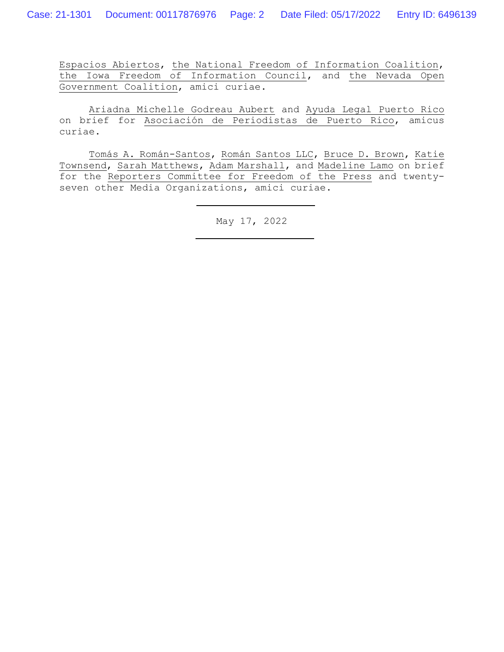Espacios Abiertos, the National Freedom of Information Coalition, the Iowa Freedom of Information Council, and the Nevada Open Government Coalition, amici curiae.

Ariadna Michelle Godreau Aubert and Ayuda Legal Puerto Rico on brief for Asociación de Periodistas de Puerto Rico, amicus curiae.

Tomás A. Román-Santos, Román Santos LLC, Bruce D. Brown, Katie Townsend, Sarah Matthews, Adam Marshall, and Madeline Lamo on brief for the Reporters Committee for Freedom of the Press and twentyseven other Media Organizations, amici curiae.

May 17, 2022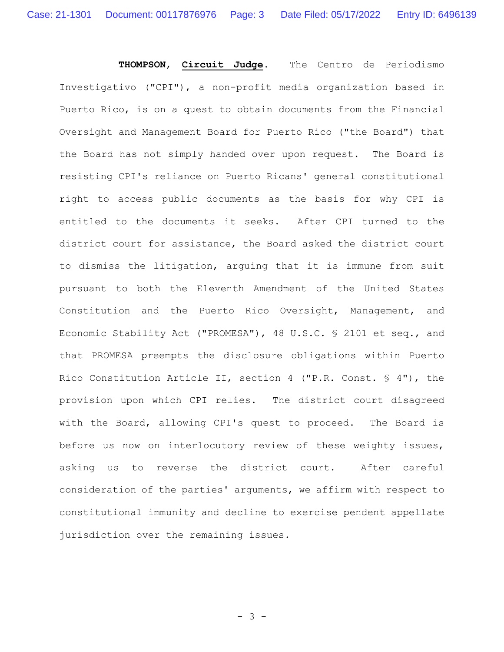**THOMPSON**, **Circuit Judge**. The Centro de Periodismo Investigativo ("CPI"), a non-profit media organization based in Puerto Rico, is on a quest to obtain documents from the Financial Oversight and Management Board for Puerto Rico ("the Board") that the Board has not simply handed over upon request. The Board is resisting CPI's reliance on Puerto Ricans' general constitutional right to access public documents as the basis for why CPI is entitled to the documents it seeks. After CPI turned to the district court for assistance, the Board asked the district court to dismiss the litigation, arguing that it is immune from suit pursuant to both the Eleventh Amendment of the United States Constitution and the Puerto Rico Oversight, Management, and Economic Stability Act ("PROMESA"), 48 U.S.C. § 2101 et seq., and that PROMESA preempts the disclosure obligations within Puerto Rico Constitution Article II, section 4 ("P.R. Const. § 4"), the provision upon which CPI relies. The district court disagreed with the Board, allowing CPI's quest to proceed. The Board is before us now on interlocutory review of these weighty issues, asking us to reverse the district court. After careful consideration of the parties' arguments, we affirm with respect to constitutional immunity and decline to exercise pendent appellate jurisdiction over the remaining issues.

- 3 -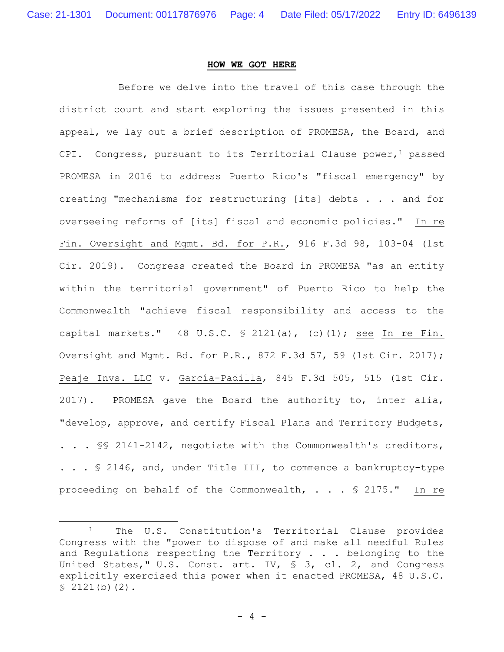## **HOW WE GOT HERE**

Before we delve into the travel of this case through the district court and start exploring the issues presented in this appeal, we lay out a brief description of PROMESA, the Board, and CPI. Congress, pursuant to its Territorial Clause power,  $1$  passed PROMESA in 2016 to address Puerto Rico's "fiscal emergency" by creating "mechanisms for restructuring [its] debts . . . and for overseeing reforms of [its] fiscal and economic policies." In re Fin. Oversight and Mgmt. Bd. for P.R., 916 F.3d 98, 103-04 (1st Cir. 2019). Congress created the Board in PROMESA "as an entity within the territorial government" of Puerto Rico to help the Commonwealth "achieve fiscal responsibility and access to the capital markets." 48 U.S.C. § 2121(a), (c)(1); see In re Fin. Oversight and Mgmt. Bd. for P.R., 872 F.3d 57, 59 (1st Cir. 2017); Peaje Invs. LLC v. García-Padilla, 845 F.3d 505, 515 (1st Cir. 2017). PROMESA gave the Board the authority to, inter alia, "develop, approve, and certify Fiscal Plans and Territory Budgets, . . . §§ 2141-2142, negotiate with the Commonwealth's creditors, . . . \$ 2146, and, under Title III, to commence a bankruptcy-type proceeding on behalf of the Commonwealth,  $\cdot \cdot \cdot$  \$ 2175." In re

<sup>1</sup> The U.S. Constitution's Territorial Clause provides Congress with the "power to dispose of and make all needful Rules and Regulations respecting the Territory . . . belonging to the United States," U.S. Const. art. IV, § 3, cl. 2, and Congress explicitly exercised this power when it enacted PROMESA, 48 U.S.C.  $$2121(b)(2).$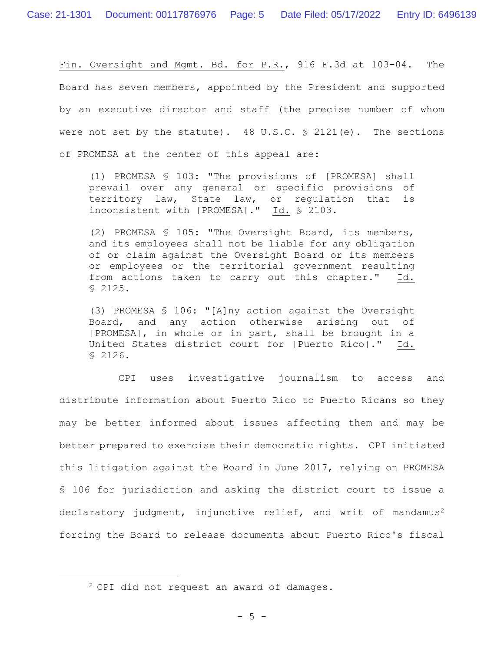Fin. Oversight and Mgmt. Bd. for P.R., 916 F.3d at 103-04. The Board has seven members, appointed by the President and supported by an executive director and staff (the precise number of whom were not set by the statute). 48 U.S.C. § 2121(e). The sections of PROMESA at the center of this appeal are:

(1) PROMESA § 103: "The provisions of [PROMESA] shall prevail over any general or specific provisions of territory law, State law, or regulation that is inconsistent with [PROMESA]." Id. § 2103.

(2) PROMESA § 105: "The Oversight Board, its members, and its employees shall not be liable for any obligation of or claim against the Oversight Board or its members or employees or the territorial government resulting from actions taken to carry out this chapter." Id. § 2125.

(3) PROMESA § 106: "[A]ny action against the Oversight Board, and any action otherwise arising out of [PROMESA], in whole or in part, shall be brought in a United States district court for [Puerto Rico]." Id. § 2126.

CPI uses investigative journalism to access and distribute information about Puerto Rico to Puerto Ricans so they may be better informed about issues affecting them and may be better prepared to exercise their democratic rights. CPI initiated this litigation against the Board in June 2017, relying on PROMESA § 106 for jurisdiction and asking the district court to issue a declaratory judgment, injunctive relief, and writ of mandamus<sup>2</sup> forcing the Board to release documents about Puerto Rico's fiscal

<sup>2</sup> CPI did not request an award of damages.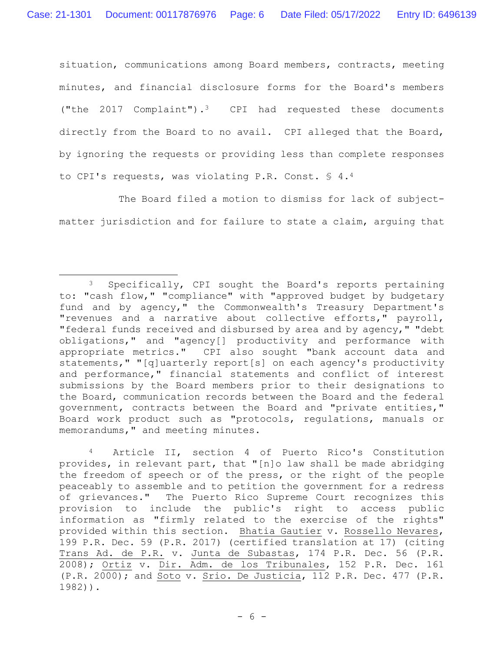situation, communications among Board members, contracts, meeting minutes, and financial disclosure forms for the Board's members ("the 2017 Complaint").<sup>3</sup> CPI had requested these documents directly from the Board to no avail. CPI alleged that the Board, by ignoring the requests or providing less than complete responses to CPI's requests, was violating P.R. Const. § 4.<sup>4</sup>

The Board filed a motion to dismiss for lack of subjectmatter jurisdiction and for failure to state a claim, arguing that

<sup>4</sup> Article II, section 4 of Puerto Rico's Constitution provides, in relevant part, that "[n]o law shall be made abridging the freedom of speech or of the press, or the right of the people peaceably to assemble and to petition the government for a redress of grievances." The Puerto Rico Supreme Court recognizes this provision to include the public's right to access public information as "firmly related to the exercise of the rights" provided within this section. Bhatia Gautier v. Rossello Nevares, 199 P.R. Dec. 59 (P.R. 2017) (certified translation at 17) (citing Trans Ad. de P.R. v. Junta de Subastas, 174 P.R. Dec. 56 (P.R. 2008); Ortiz v. Dir. Adm. de los Tribunales, 152 P.R. Dec. 161 (P.R. 2000); and Soto v. Srio. De Justicia, 112 P.R. Dec. 477 (P.R. 1982)).

<sup>&</sup>lt;sup>3</sup> Specifically, CPI sought the Board's reports pertaining to: "cash flow," "compliance" with "approved budget by budgetary fund and by agency," the Commonwealth's Treasury Department's "revenues and a narrative about collective efforts," payroll, "federal funds received and disbursed by area and by agency," "debt obligations," and "agency[] productivity and performance with appropriate metrics." CPI also sought "bank account data and statements," "[q]uarterly report[s] on each agency's productivity and performance," financial statements and conflict of interest submissions by the Board members prior to their designations to the Board, communication records between the Board and the federal government, contracts between the Board and "private entities," Board work product such as "protocols, regulations, manuals or memorandums," and meeting minutes.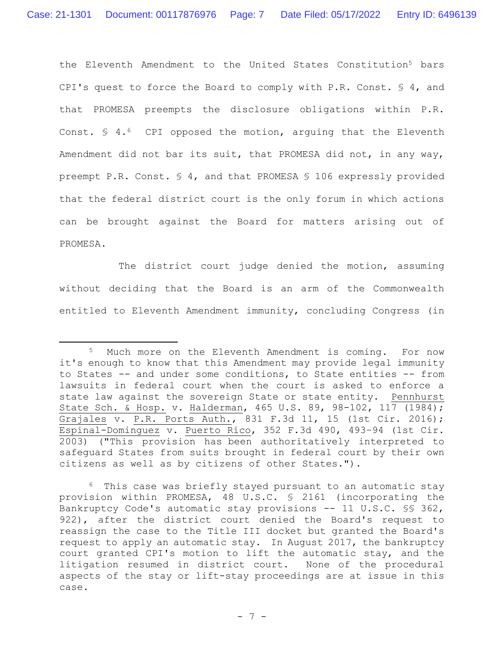the Eleventh Amendment to the United States Constitution<sup>5</sup> bars CPI's quest to force the Board to comply with P.R. Const. § 4, and that PROMESA preempts the disclosure obligations within P.R. Const.  $\frac{1}{2}$  4.<sup>6</sup> CPI opposed the motion, arguing that the Eleventh Amendment did not bar its suit, that PROMESA did not, in any way, preempt P.R. Const. § 4, and that PROMESA § 106 expressly provided that the federal district court is the only forum in which actions can be brought against the Board for matters arising out of PROMESA.

The district court judge denied the motion, assuming without deciding that the Board is an arm of the Commonwealth entitled to Eleventh Amendment immunity, concluding Congress (in

<sup>5</sup> Much more on the Eleventh Amendment is coming. For now it's enough to know that this Amendment may provide legal immunity to States -- and under some conditions, to State entities -- from lawsuits in federal court when the court is asked to enforce a state law against the sovereign State or state entity. Pennhurst State Sch. & Hosp. v. Halderman, 465 U.S. 89, 98-102, 117 (1984); Grajales v. P.R. Ports Auth., 831 F.3d 11, 15 (1st Cir. 2016); Espinal-Dominguez v. Puerto Rico, 352 F.3d 490, 493–94 (1st Cir. 2003) ("This provision has been authoritatively interpreted to safeguard States from suits brought in federal court by their own citizens as well as by citizens of other States.").

<sup>6</sup> This case was briefly stayed pursuant to an automatic stay provision within PROMESA, 48 U.S.C. § 2161 (incorporating the Bankruptcy Code's automatic stay provisions -- 11 U.S.C. §§ 362, 922), after the district court denied the Board's request to reassign the case to the Title III docket but granted the Board's request to apply an automatic stay. In August 2017, the bankruptcy court granted CPI's motion to lift the automatic stay, and the litigation resumed in district court. None of the procedural aspects of the stay or lift-stay proceedings are at issue in this case.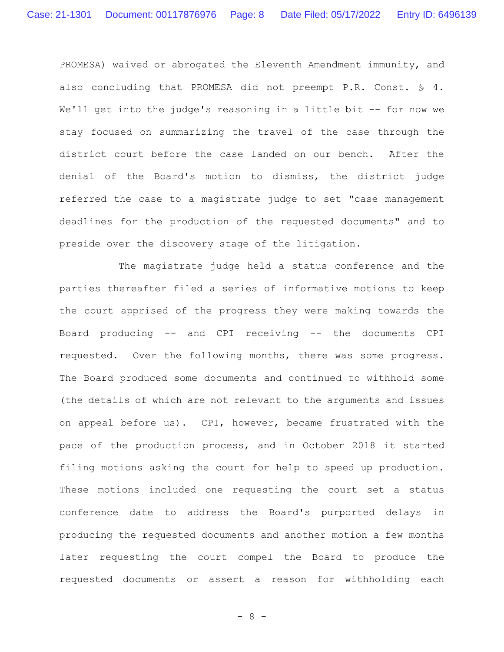PROMESA) waived or abrogated the Eleventh Amendment immunity, and also concluding that PROMESA did not preempt P.R. Const. § 4. We'll get into the judge's reasoning in a little bit -- for now we stay focused on summarizing the travel of the case through the district court before the case landed on our bench. After the denial of the Board's motion to dismiss, the district judge referred the case to a magistrate judge to set "case management deadlines for the production of the requested documents" and to preside over the discovery stage of the litigation.

The magistrate judge held a status conference and the parties thereafter filed a series of informative motions to keep the court apprised of the progress they were making towards the Board producing -- and CPI receiving -- the documents CPI requested. Over the following months, there was some progress. The Board produced some documents and continued to withhold some (the details of which are not relevant to the arguments and issues on appeal before us). CPI, however, became frustrated with the pace of the production process, and in October 2018 it started filing motions asking the court for help to speed up production. These motions included one requesting the court set a status conference date to address the Board's purported delays in producing the requested documents and another motion a few months later requesting the court compel the Board to produce the requested documents or assert a reason for withholding each

- 8 -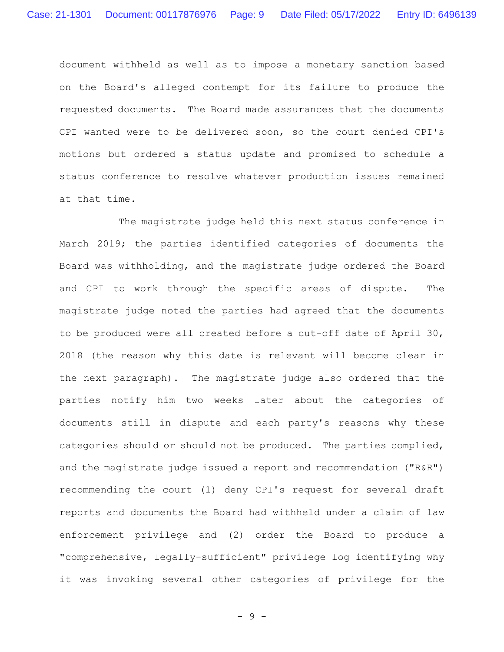document withheld as well as to impose a monetary sanction based on the Board's alleged contempt for its failure to produce the requested documents. The Board made assurances that the documents CPI wanted were to be delivered soon, so the court denied CPI's motions but ordered a status update and promised to schedule a status conference to resolve whatever production issues remained at that time.

The magistrate judge held this next status conference in March 2019; the parties identified categories of documents the Board was withholding, and the magistrate judge ordered the Board and CPI to work through the specific areas of dispute. The magistrate judge noted the parties had agreed that the documents to be produced were all created before a cut-off date of April 30, 2018 (the reason why this date is relevant will become clear in the next paragraph). The magistrate judge also ordered that the parties notify him two weeks later about the categories of documents still in dispute and each party's reasons why these categories should or should not be produced. The parties complied, and the magistrate judge issued a report and recommendation ("R&R") recommending the court (1) deny CPI's request for several draft reports and documents the Board had withheld under a claim of law enforcement privilege and (2) order the Board to produce a "comprehensive, legally-sufficient" privilege log identifying why it was invoking several other categories of privilege for the

- 9 -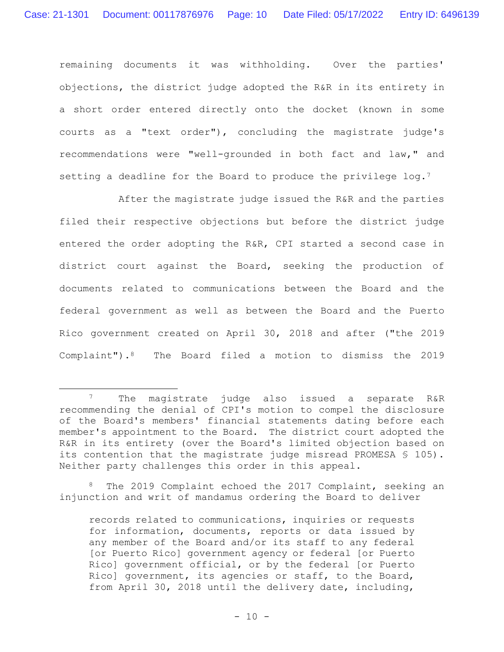remaining documents it was withholding. Over the parties' objections, the district judge adopted the R&R in its entirety in a short order entered directly onto the docket (known in some courts as a "text order"), concluding the magistrate judge's recommendations were "well-grounded in both fact and law," and setting a deadline for the Board to produce the privilege log.<sup>7</sup>

After the magistrate judge issued the R&R and the parties filed their respective objections but before the district judge entered the order adopting the R&R, CPI started a second case in district court against the Board, seeking the production of documents related to communications between the Board and the federal government as well as between the Board and the Puerto Rico government created on April 30, 2018 and after ("the 2019 Complaint").8 The Board filed a motion to dismiss the 2019

The 2019 Complaint echoed the 2017 Complaint, seeking an injunction and writ of mandamus ordering the Board to deliver

records related to communications, inquiries or requests for information, documents, reports or data issued by any member of the Board and/or its staff to any federal [or Puerto Rico] government agency or federal [or Puerto Rico] government official, or by the federal [or Puerto Rico] government, its agencies or staff, to the Board, from April 30, 2018 until the delivery date, including,

<sup>&</sup>lt;sup>7</sup> The magistrate judge also issued a separate R&R recommending the denial of CPI's motion to compel the disclosure of the Board's members' financial statements dating before each member's appointment to the Board. The district court adopted the R&R in its entirety (over the Board's limited objection based on its contention that the magistrate judge misread PROMESA § 105). Neither party challenges this order in this appeal.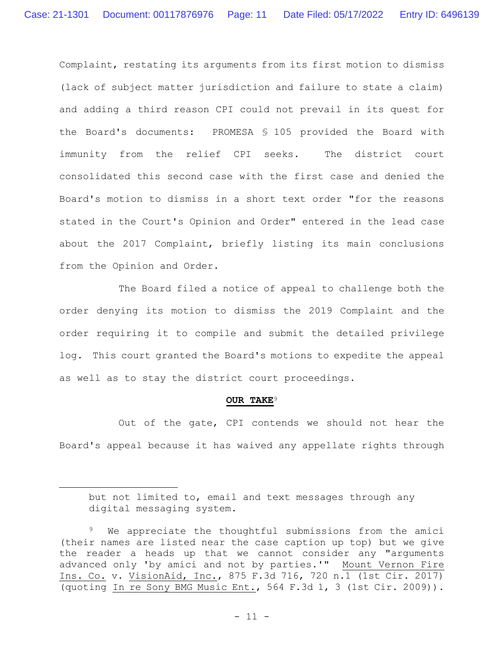Complaint, restating its arguments from its first motion to dismiss (lack of subject matter jurisdiction and failure to state a claim) and adding a third reason CPI could not prevail in its quest for the Board's documents: PROMESA § 105 provided the Board with immunity from the relief CPI seeks. The district court consolidated this second case with the first case and denied the Board's motion to dismiss in a short text order "for the reasons stated in the Court's Opinion and Order" entered in the lead case about the 2017 Complaint, briefly listing its main conclusions from the Opinion and Order.

The Board filed a notice of appeal to challenge both the order denying its motion to dismiss the 2019 Complaint and the order requiring it to compile and submit the detailed privilege log. This court granted the Board's motions to expedite the appeal as well as to stay the district court proceedings.

## **OUR TAKE**<sup>9</sup>

Out of the gate, CPI contends we should not hear the Board's appeal because it has waived any appellate rights through

but not limited to, email and text messages through any digital messaging system.

We appreciate the thoughtful submissions from the amici (their names are listed near the case caption up top) but we give the reader a heads up that we cannot consider any "arguments advanced only 'by amici and not by parties.'" Mount Vernon Fire Ins. Co. v. VisionAid, Inc., 875 F.3d 716, 720 n.1 (1st Cir. 2017) (quoting In re Sony BMG Music Ent., 564 F.3d 1, 3 (1st Cir. 2009)).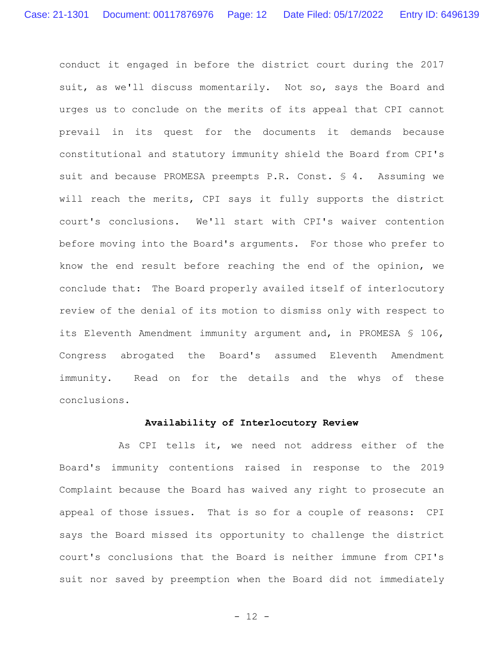conduct it engaged in before the district court during the 2017 suit, as we'll discuss momentarily. Not so, says the Board and urges us to conclude on the merits of its appeal that CPI cannot prevail in its quest for the documents it demands because constitutional and statutory immunity shield the Board from CPI's suit and because PROMESA preempts P.R. Const. § 4. Assuming we will reach the merits, CPI says it fully supports the district court's conclusions. We'll start with CPI's waiver contention before moving into the Board's arguments. For those who prefer to know the end result before reaching the end of the opinion, we conclude that: The Board properly availed itself of interlocutory review of the denial of its motion to dismiss only with respect to its Eleventh Amendment immunity argument and, in PROMESA § 106, Congress abrogated the Board's assumed Eleventh Amendment immunity. Read on for the details and the whys of these conclusions.

#### **Availability of Interlocutory Review**

As CPI tells it, we need not address either of the Board's immunity contentions raised in response to the 2019 Complaint because the Board has waived any right to prosecute an appeal of those issues. That is so for a couple of reasons: CPI says the Board missed its opportunity to challenge the district court's conclusions that the Board is neither immune from CPI's suit nor saved by preemption when the Board did not immediately

- 12 -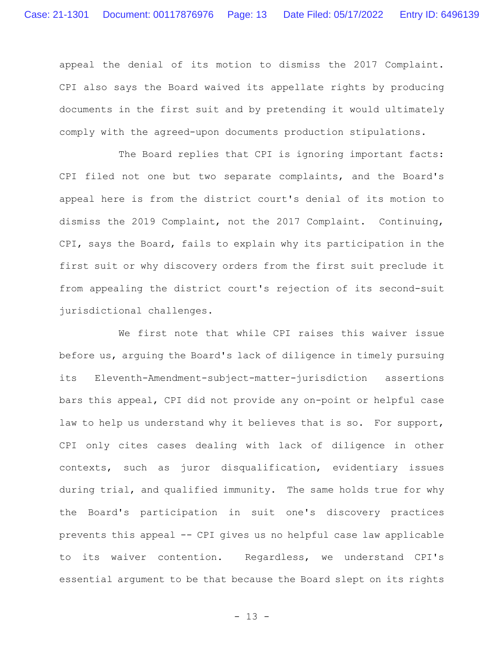appeal the denial of its motion to dismiss the 2017 Complaint. CPI also says the Board waived its appellate rights by producing documents in the first suit and by pretending it would ultimately comply with the agreed-upon documents production stipulations.

The Board replies that CPI is ignoring important facts: CPI filed not one but two separate complaints, and the Board's appeal here is from the district court's denial of its motion to dismiss the 2019 Complaint, not the 2017 Complaint. Continuing, CPI, says the Board, fails to explain why its participation in the first suit or why discovery orders from the first suit preclude it from appealing the district court's rejection of its second-suit jurisdictional challenges.

We first note that while CPI raises this waiver issue before us, arguing the Board's lack of diligence in timely pursuing its Eleventh-Amendment-subject-matter-jurisdiction assertions bars this appeal, CPI did not provide any on-point or helpful case law to help us understand why it believes that is so. For support, CPI only cites cases dealing with lack of diligence in other contexts, such as juror disqualification, evidentiary issues during trial, and qualified immunity. The same holds true for why the Board's participation in suit one's discovery practices prevents this appeal -- CPI gives us no helpful case law applicable to its waiver contention. Regardless, we understand CPI's essential argument to be that because the Board slept on its rights

- 13 -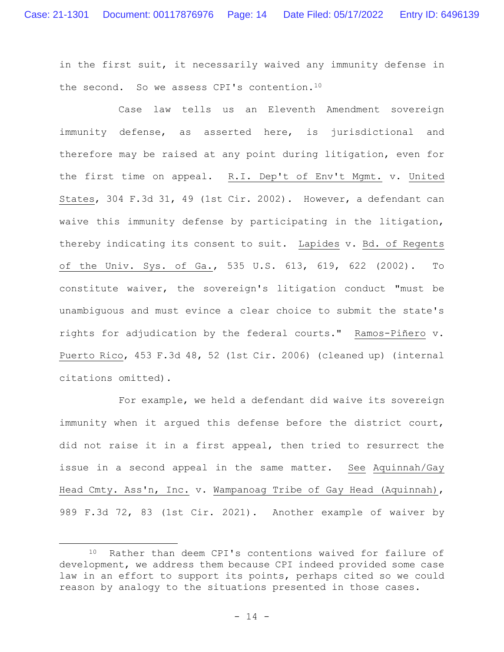in the first suit, it necessarily waived any immunity defense in the second. So we assess CPI's contention.<sup>10</sup>

Case law tells us an Eleventh Amendment sovereign immunity defense, as asserted here, is jurisdictional and therefore may be raised at any point during litigation, even for the first time on appeal. R.I. Dep't of Env't Mgmt. v. United States, 304 F.3d 31, 49 (1st Cir. 2002). However, a defendant can waive this immunity defense by participating in the litigation, thereby indicating its consent to suit. Lapides v. Bd. of Regents of the Univ. Sys. of Ga., 535 U.S. 613, 619, 622 (2002). To constitute waiver, the sovereign's litigation conduct "must be unambiguous and must evince a clear choice to submit the state's rights for adjudication by the federal courts." Ramos-Piñero v. Puerto Rico, 453 F.3d 48, 52 (1st Cir. 2006) (cleaned up) (internal citations omitted).

For example, we held a defendant did waive its sovereign immunity when it argued this defense before the district court, did not raise it in a first appeal, then tried to resurrect the issue in a second appeal in the same matter. See Aquinnah/Gay Head Cmty. Ass'n, Inc. v. Wampanoag Tribe of Gay Head (Aquinnah), 989 F.3d 72, 83 (1st Cir. 2021). Another example of waiver by

<sup>10</sup> Rather than deem CPI's contentions waived for failure of development, we address them because CPI indeed provided some case law in an effort to support its points, perhaps cited so we could reason by analogy to the situations presented in those cases.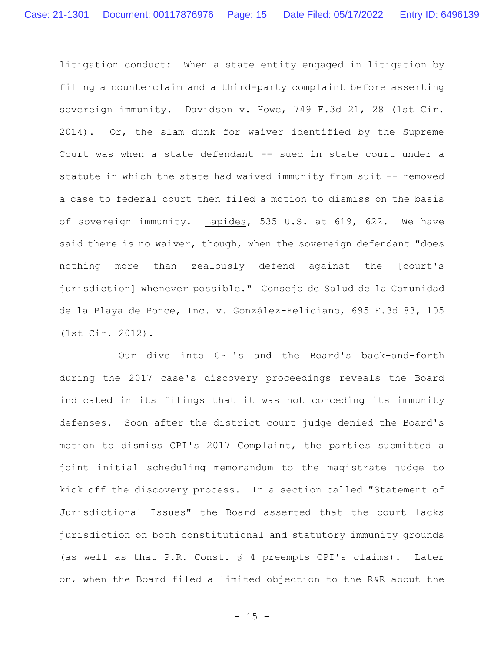litigation conduct: When a state entity engaged in litigation by filing a counterclaim and a third-party complaint before asserting sovereign immunity. Davidson v. Howe, 749 F.3d 21, 28 (1st Cir. 2014). Or, the slam dunk for waiver identified by the Supreme Court was when a state defendant -- sued in state court under a statute in which the state had waived immunity from suit -- removed a case to federal court then filed a motion to dismiss on the basis of sovereign immunity. Lapides, 535 U.S. at 619, 622. We have said there is no waiver, though, when the sovereign defendant "does nothing more than zealously defend against the [court's jurisdiction] whenever possible." Consejo de Salud de la Comunidad de la Playa de Ponce, Inc. v. González-Feliciano, 695 F.3d 83, 105 (1st Cir. 2012).

Our dive into CPI's and the Board's back-and-forth during the 2017 case's discovery proceedings reveals the Board indicated in its filings that it was not conceding its immunity defenses. Soon after the district court judge denied the Board's motion to dismiss CPI's 2017 Complaint, the parties submitted a joint initial scheduling memorandum to the magistrate judge to kick off the discovery process. In a section called "Statement of Jurisdictional Issues" the Board asserted that the court lacks jurisdiction on both constitutional and statutory immunity grounds (as well as that P.R. Const. § 4 preempts CPI's claims). Later on, when the Board filed a limited objection to the R&R about the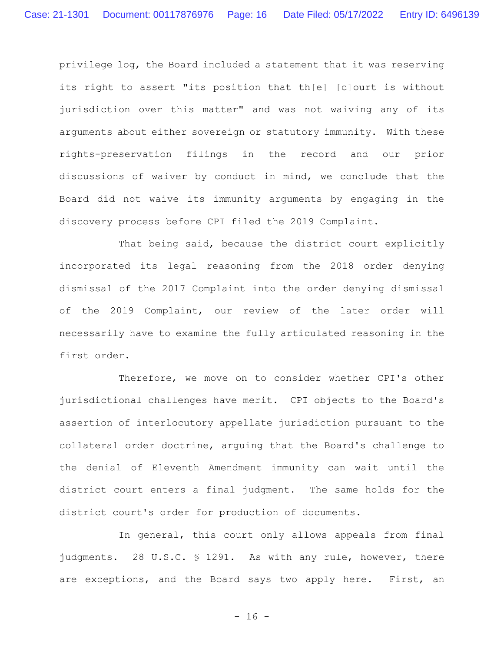privilege log, the Board included a statement that it was reserving its right to assert "its position that th[e] [c]ourt is without jurisdiction over this matter" and was not waiving any of its arguments about either sovereign or statutory immunity. With these rights-preservation filings in the record and our prior discussions of waiver by conduct in mind, we conclude that the Board did not waive its immunity arguments by engaging in the discovery process before CPI filed the 2019 Complaint.

That being said, because the district court explicitly incorporated its legal reasoning from the 2018 order denying dismissal of the 2017 Complaint into the order denying dismissal of the 2019 Complaint, our review of the later order will necessarily have to examine the fully articulated reasoning in the first order.

Therefore, we move on to consider whether CPI's other jurisdictional challenges have merit. CPI objects to the Board's assertion of interlocutory appellate jurisdiction pursuant to the collateral order doctrine, arguing that the Board's challenge to the denial of Eleventh Amendment immunity can wait until the district court enters a final judgment. The same holds for the district court's order for production of documents.

In general, this court only allows appeals from final judgments. 28 U.S.C. § 1291. As with any rule, however, there are exceptions, and the Board says two apply here. First, an

 $- 16 -$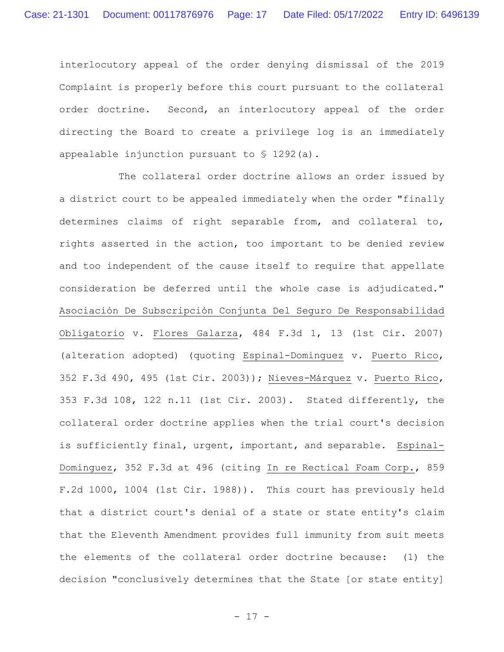interlocutory appeal of the order denying dismissal of the 2019 Complaint is properly before this court pursuant to the collateral order doctrine. Second, an interlocutory appeal of the order directing the Board to create a privilege log is an immediately appealable injunction pursuant to § 1292(a).

The collateral order doctrine allows an order issued by a district court to be appealed immediately when the order "finally determines claims of right separable from, and collateral to, rights asserted in the action, too important to be denied review and too independent of the cause itself to require that appellate consideration be deferred until the whole case is adjudicated." Asociación De Subscripción Conjunta Del Seguro De Responsabilidad Obligatorio v. Flores Galarza, 484 F.3d 1, 13 (1st Cir. 2007) (alteration adopted) (quoting Espinal-Dominguez v. Puerto Rico, 352 F.3d 490, 495 (1st Cir. 2003)); Nieves-Márquez v. Puerto Rico, 353 F.3d 108, 122 n.11 (1st Cir. 2003). Stated differently, the collateral order doctrine applies when the trial court's decision is sufficiently final, urgent, important, and separable. Espinal-Dominguez, 352 F.3d at 496 (citing In re Rectical Foam Corp., 859 F.2d 1000, 1004 (1st Cir. 1988)). This court has previously held that a district court's denial of a state or state entity's claim that the Eleventh Amendment provides full immunity from suit meets the elements of the collateral order doctrine because: (1) the decision "conclusively determines that the State [or state entity]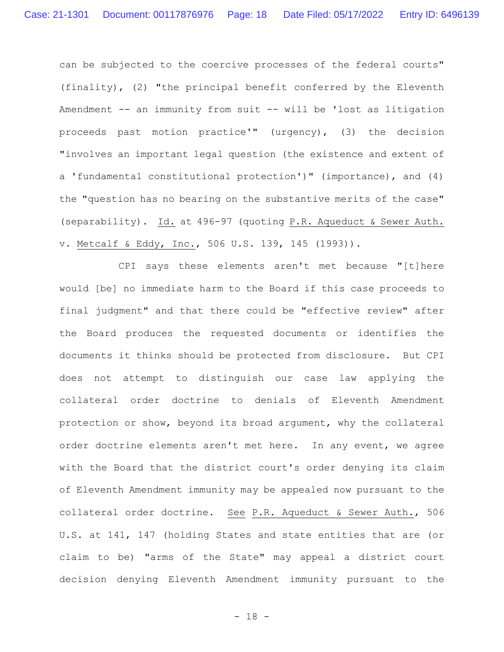can be subjected to the coercive processes of the federal courts" (finality), (2) "the principal benefit conferred by the Eleventh Amendment -- an immunity from suit -- will be 'lost as litigation proceeds past motion practice'" (urgency), (3) the decision "involves an important legal question (the existence and extent of a 'fundamental constitutional protection')" (importance), and (4) the "question has no bearing on the substantive merits of the case" (separability). Id. at 496-97 (quoting P.R. Aqueduct & Sewer Auth. v. Metcalf & Eddy, Inc., 506 U.S. 139, 145 (1993)).

CPI says these elements aren't met because "[t]here would [be] no immediate harm to the Board if this case proceeds to final judgment" and that there could be "effective review" after the Board produces the requested documents or identifies the documents it thinks should be protected from disclosure. But CPI does not attempt to distinguish our case law applying the collateral order doctrine to denials of Eleventh Amendment protection or show, beyond its broad argument, why the collateral order doctrine elements aren't met here. In any event, we agree with the Board that the district court's order denying its claim of Eleventh Amendment immunity may be appealed now pursuant to the collateral order doctrine. See P.R. Aqueduct & Sewer Auth., 506 U.S. at 141, 147 (holding States and state entities that are (or claim to be) "arms of the State" may appeal a district court decision denying Eleventh Amendment immunity pursuant to the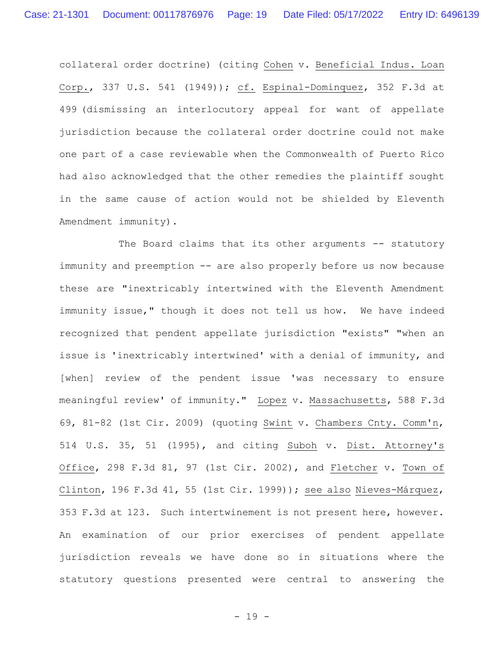collateral order doctrine) (citing Cohen v. Beneficial Indus. Loan Corp., 337 U.S. 541 (1949)); cf. Espinal-Dominquez, 352 F.3d at 499 (dismissing an interlocutory appeal for want of appellate jurisdiction because the collateral order doctrine could not make one part of a case reviewable when the Commonwealth of Puerto Rico had also acknowledged that the other remedies the plaintiff sought in the same cause of action would not be shielded by Eleventh Amendment immunity).

The Board claims that its other arguments -- statutory immunity and preemption -- are also properly before us now because these are "inextricably intertwined with the Eleventh Amendment immunity issue," though it does not tell us how. We have indeed recognized that pendent appellate jurisdiction "exists" "when an issue is 'inextricably intertwined' with a denial of immunity, and [when] review of the pendent issue 'was necessary to ensure meaningful review' of immunity." Lopez v. Massachusetts, 588 F.3d 69, 81-82 (1st Cir. 2009) (quoting Swint v. Chambers Cnty. Comm'n, 514 U.S. 35, 51 (1995), and citing Suboh v. Dist. Attorney's Office, 298 F.3d 81, 97 (1st Cir. 2002), and Fletcher v. Town of Clinton, 196 F.3d 41, 55 (1st Cir. 1999)); see also Nieves-Márquez, 353 F.3d at 123. Such intertwinement is not present here, however. An examination of our prior exercises of pendent appellate jurisdiction reveals we have done so in situations where the statutory questions presented were central to answering the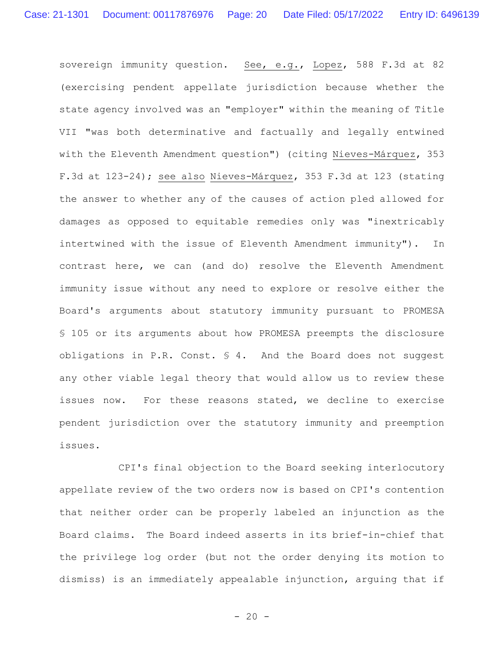sovereign immunity question. See, e.g., Lopez, 588 F.3d at 82 (exercising pendent appellate jurisdiction because whether the state agency involved was an "employer" within the meaning of Title VII "was both determinative and factually and legally entwined with the Eleventh Amendment question") (citing Nieves-Márquez, 353 F.3d at 123-24); see also Nieves-Márquez, 353 F.3d at 123 (stating the answer to whether any of the causes of action pled allowed for damages as opposed to equitable remedies only was "inextricably intertwined with the issue of Eleventh Amendment immunity"). In contrast here, we can (and do) resolve the Eleventh Amendment immunity issue without any need to explore or resolve either the Board's arguments about statutory immunity pursuant to PROMESA § 105 or its arguments about how PROMESA preempts the disclosure obligations in P.R. Const. § 4. And the Board does not suggest any other viable legal theory that would allow us to review these issues now. For these reasons stated, we decline to exercise pendent jurisdiction over the statutory immunity and preemption issues.

CPI's final objection to the Board seeking interlocutory appellate review of the two orders now is based on CPI's contention that neither order can be properly labeled an injunction as the Board claims. The Board indeed asserts in its brief-in-chief that the privilege log order (but not the order denying its motion to dismiss) is an immediately appealable injunction, arguing that if

 $- 20 -$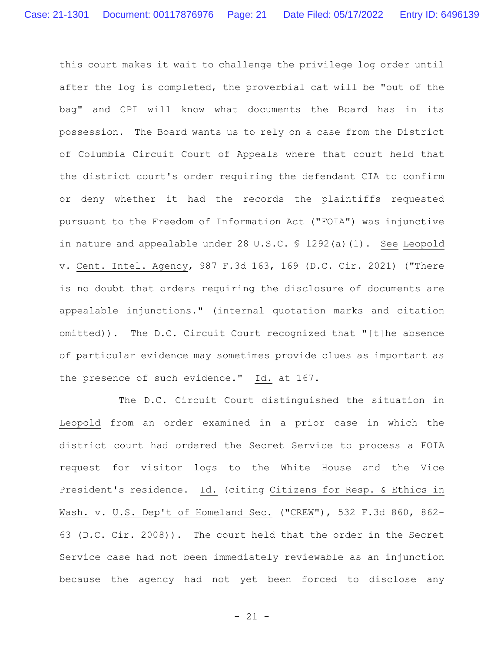this court makes it wait to challenge the privilege log order until after the log is completed, the proverbial cat will be "out of the bag" and CPI will know what documents the Board has in its possession. The Board wants us to rely on a case from the District of Columbia Circuit Court of Appeals where that court held that the district court's order requiring the defendant CIA to confirm or deny whether it had the records the plaintiffs requested pursuant to the Freedom of Information Act ("FOIA") was injunctive in nature and appealable under 28 U.S.C. § 1292(a)(1). See Leopold v. Cent. Intel. Agency, 987 F.3d 163, 169 (D.C. Cir. 2021) ("There is no doubt that orders requiring the disclosure of documents are appealable injunctions." (internal quotation marks and citation omitted)). The D.C. Circuit Court recognized that "[t]he absence of particular evidence may sometimes provide clues as important as the presence of such evidence." Id. at 167.

The D.C. Circuit Court distinguished the situation in Leopold from an order examined in a prior case in which the district court had ordered the Secret Service to process a FOIA request for visitor logs to the White House and the Vice President's residence. Id. (citing Citizens for Resp. & Ethics in Wash. v. U.S. Dep't of Homeland Sec. ("CREW"), 532 F.3d 860, 862- 63 (D.C. Cir. 2008)). The court held that the order in the Secret Service case had not been immediately reviewable as an injunction because the agency had not yet been forced to disclose any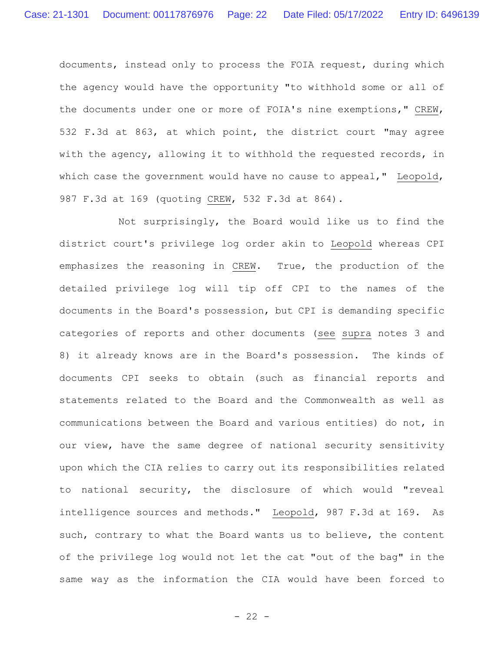documents, instead only to process the FOIA request, during which the agency would have the opportunity "to withhold some or all of the documents under one or more of FOIA's nine exemptions," CREW, 532 F.3d at 863, at which point, the district court "may agree with the agency, allowing it to withhold the requested records, in which case the government would have no cause to appeal," Leopold, 987 F.3d at 169 (quoting CREW, 532 F.3d at 864).

Not surprisingly, the Board would like us to find the district court's privilege log order akin to Leopold whereas CPI emphasizes the reasoning in CREW. True, the production of the detailed privilege log will tip off CPI to the names of the documents in the Board's possession, but CPI is demanding specific categories of reports and other documents (see supra notes 3 and 8) it already knows are in the Board's possession. The kinds of documents CPI seeks to obtain (such as financial reports and statements related to the Board and the Commonwealth as well as communications between the Board and various entities) do not, in our view, have the same degree of national security sensitivity upon which the CIA relies to carry out its responsibilities related to national security, the disclosure of which would "reveal intelligence sources and methods." Leopold, 987 F.3d at 169. As such, contrary to what the Board wants us to believe, the content of the privilege log would not let the cat "out of the bag" in the same way as the information the CIA would have been forced to

 $- 22 -$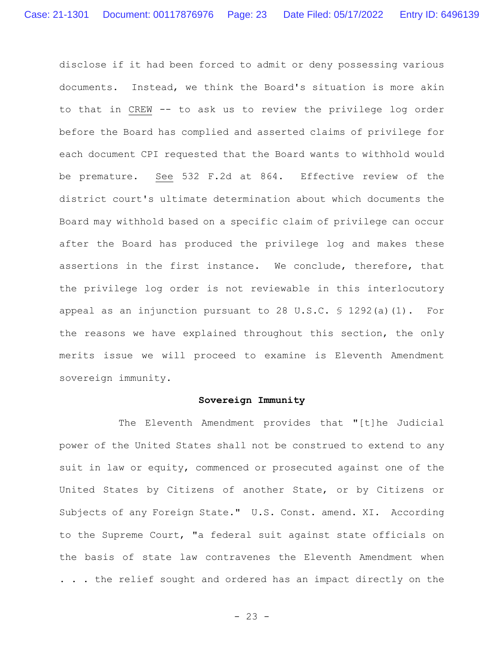disclose if it had been forced to admit or deny possessing various documents. Instead, we think the Board's situation is more akin to that in CREW -- to ask us to review the privilege log order before the Board has complied and asserted claims of privilege for each document CPI requested that the Board wants to withhold would be premature. See 532 F.2d at 864. Effective review of the district court's ultimate determination about which documents the Board may withhold based on a specific claim of privilege can occur after the Board has produced the privilege log and makes these assertions in the first instance. We conclude, therefore, that the privilege log order is not reviewable in this interlocutory appeal as an injunction pursuant to 28 U.S.C. § 1292(a)(1). For the reasons we have explained throughout this section, the only merits issue we will proceed to examine is Eleventh Amendment sovereign immunity.

#### **Sovereign Immunity**

The Eleventh Amendment provides that "[t]he Judicial power of the United States shall not be construed to extend to any suit in law or equity, commenced or prosecuted against one of the United States by Citizens of another State, or by Citizens or Subjects of any Foreign State." U.S. Const. amend. XI. According to the Supreme Court, "a federal suit against state officials on the basis of state law contravenes the Eleventh Amendment when . . . the relief sought and ordered has an impact directly on the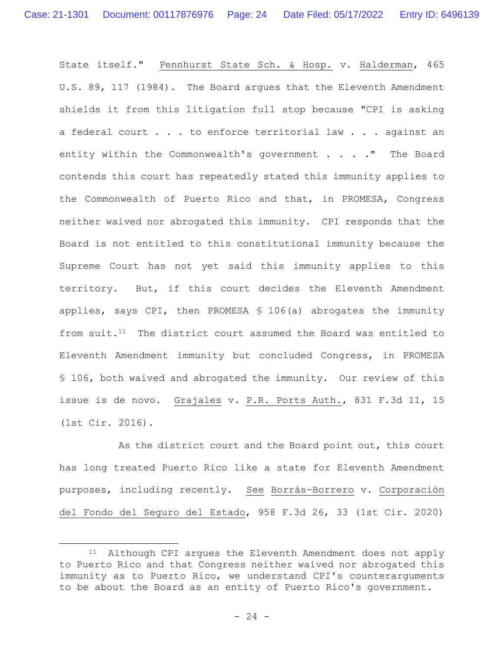State itself." Pennhurst State Sch. & Hosp. v. Halderman, 465 U.S. 89, 117 (1984). The Board argues that the Eleventh Amendment shields it from this litigation full stop because "CPI is asking a federal court . . . to enforce territorial law . . . against an entity within the Commonwealth's government . . . . " The Board contends this court has repeatedly stated this immunity applies to the Commonwealth of Puerto Rico and that, in PROMESA, Congress neither waived nor abrogated this immunity. CPI responds that the Board is not entitled to this constitutional immunity because the Supreme Court has not yet said this immunity applies to this territory. But, if this court decides the Eleventh Amendment applies, says CPI, then PROMESA § 106(a) abrogates the immunity from suit.11 The district court assumed the Board was entitled to Eleventh Amendment immunity but concluded Congress, in PROMESA § 106, both waived and abrogated the immunity. Our review of this issue is de novo. Grajales v. P.R. Ports Auth., 831 F.3d 11, 15 (1st Cir. 2016).

As the district court and the Board point out, this court has long treated Puerto Rico like a state for Eleventh Amendment purposes, including recently. See Borrás-Borrero v. Corporación del Fondo del Seguro del Estado, 958 F.3d 26, 33 (1st Cir. 2020)

<sup>11</sup> Although CPI argues the Eleventh Amendment does not apply to Puerto Rico and that Congress neither waived nor abrogated this immunity as to Puerto Rico, we understand CPI's counterarguments to be about the Board as an entity of Puerto Rico's government.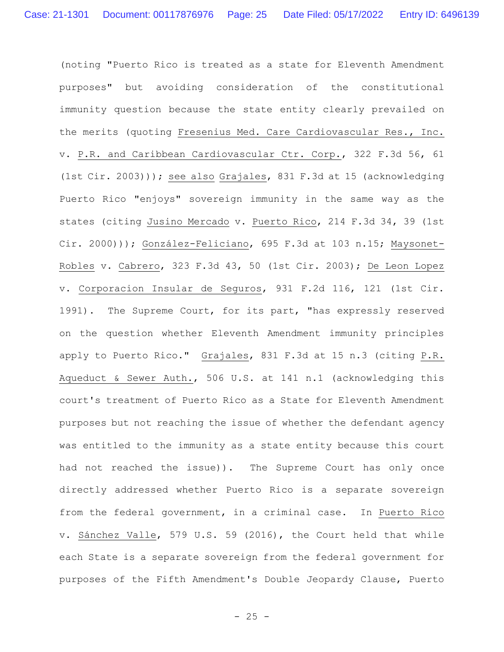(noting "Puerto Rico is treated as a state for Eleventh Amendment purposes" but avoiding consideration of the constitutional immunity question because the state entity clearly prevailed on the merits (quoting Fresenius Med. Care Cardiovascular Res., Inc. v. P.R. and Caribbean Cardiovascular Ctr. Corp., 322 F.3d 56, 61 (1st Cir. 2003))); see also Grajales, 831 F.3d at 15 (acknowledging Puerto Rico "enjoys" sovereign immunity in the same way as the states (citing Jusino Mercado v. Puerto Rico, 214 F.3d 34, 39 (1st Cir. 2000))); González-Feliciano, 695 F.3d at 103 n.15; Maysonet-Robles v. Cabrero, 323 F.3d 43, 50 (1st Cir. 2003); De Leon Lopez v. Corporacion Insular de Seguros, 931 F.2d 116, 121 (1st Cir. 1991). The Supreme Court, for its part, "has expressly reserved on the question whether Eleventh Amendment immunity principles apply to Puerto Rico." Grajales, 831 F.3d at 15 n.3 (citing P.R. Aqueduct & Sewer Auth., 506 U.S. at 141 n.1 (acknowledging this court's treatment of Puerto Rico as a State for Eleventh Amendment purposes but not reaching the issue of whether the defendant agency was entitled to the immunity as a state entity because this court had not reached the issue)). The Supreme Court has only once directly addressed whether Puerto Rico is a separate sovereign from the federal government, in a criminal case. In Puerto Rico v. Sánchez Valle, 579 U.S. 59 (2016), the Court held that while each State is a separate sovereign from the federal government for purposes of the Fifth Amendment's Double Jeopardy Clause, Puerto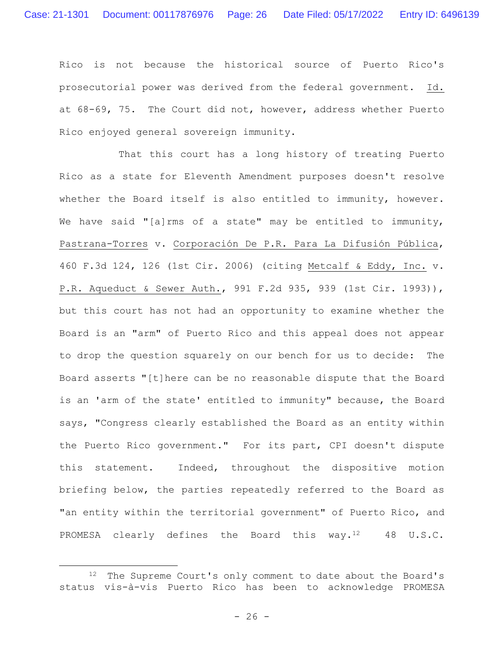Rico is not because the historical source of Puerto Rico's prosecutorial power was derived from the federal government. Id. at 68-69, 75. The Court did not, however, address whether Puerto Rico enjoyed general sovereign immunity.

That this court has a long history of treating Puerto Rico as a state for Eleventh Amendment purposes doesn't resolve whether the Board itself is also entitled to immunity, however. We have said "[a]rms of a state" may be entitled to immunity, Pastrana-Torres v. Corporación De P.R. Para La Difusión Pública, 460 F.3d 124, 126 (1st Cir. 2006) (citing Metcalf & Eddy, Inc. v. P.R. Aqueduct & Sewer Auth., 991 F.2d 935, 939 (1st Cir. 1993)), but this court has not had an opportunity to examine whether the Board is an "arm" of Puerto Rico and this appeal does not appear to drop the question squarely on our bench for us to decide: The Board asserts "[t]here can be no reasonable dispute that the Board is an 'arm of the state' entitled to immunity" because, the Board says, "Congress clearly established the Board as an entity within the Puerto Rico government." For its part, CPI doesn't dispute this statement. Indeed, throughout the dispositive motion briefing below, the parties repeatedly referred to the Board as "an entity within the territorial government" of Puerto Rico, and PROMESA clearly defines the Board this way.12 48 U.S.C.

<sup>12</sup> The Supreme Court's only comment to date about the Board's status vis-à-vis Puerto Rico has been to acknowledge PROMESA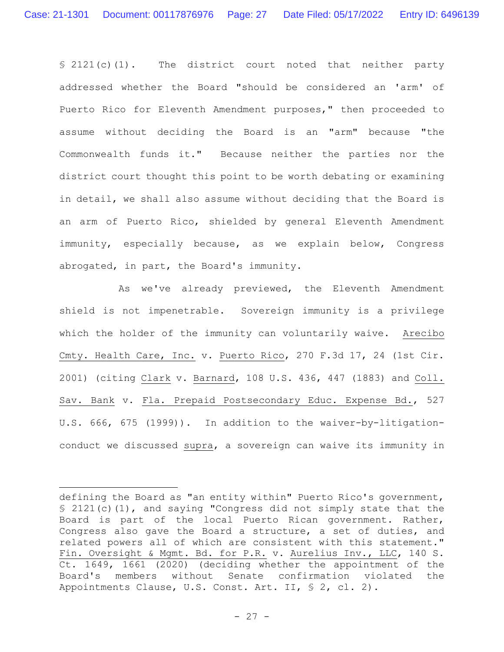§ 2121(c)(1). The district court noted that neither party addressed whether the Board "should be considered an 'arm' of Puerto Rico for Eleventh Amendment purposes," then proceeded to assume without deciding the Board is an "arm" because "the Commonwealth funds it." Because neither the parties nor the district court thought this point to be worth debating or examining in detail, we shall also assume without deciding that the Board is an arm of Puerto Rico, shielded by general Eleventh Amendment immunity, especially because, as we explain below, Congress abrogated, in part, the Board's immunity.

As we've already previewed, the Eleventh Amendment shield is not impenetrable. Sovereign immunity is a privilege which the holder of the immunity can voluntarily waive. Arecibo Cmty. Health Care, Inc. v. Puerto Rico, 270 F.3d 17, 24 (1st Cir. 2001) (citing Clark v. Barnard, 108 U.S. 436, 447 (1883) and Coll. Sav. Bank v. Fla. Prepaid Postsecondary Educ. Expense Bd., 527 U.S. 666, 675 (1999)). In addition to the waiver-by-litigationconduct we discussed supra, a sovereign can waive its immunity in

defining the Board as "an entity within" Puerto Rico's government, § 2121(c)(1), and saying "Congress did not simply state that the Board is part of the local Puerto Rican government. Rather, Congress also gave the Board a structure, a set of duties, and related powers all of which are consistent with this statement." Fin. Oversight & Mgmt. Bd. for P.R. v. Aurelius Inv., LLC, 140 S. Ct. 1649, 1661 (2020) (deciding whether the appointment of the Board's members without Senate confirmation violated the Appointments Clause, U.S. Const. Art. II, § 2, cl. 2).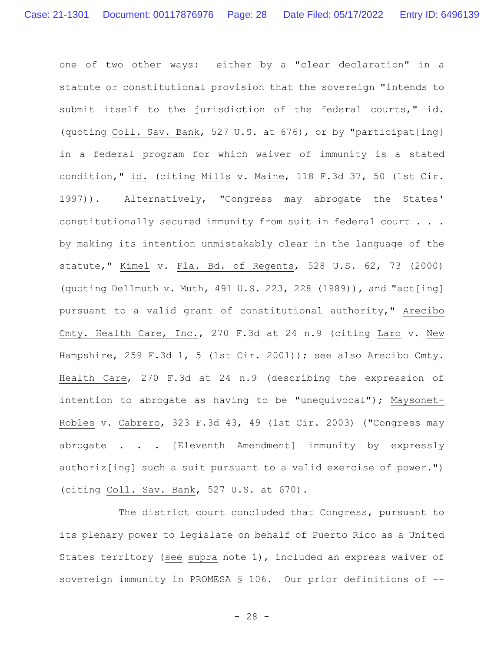one of two other ways: either by a "clear declaration" in a statute or constitutional provision that the sovereign "intends to submit itself to the jurisdiction of the federal courts," id. (quoting Coll. Sav. Bank, 527 U.S. at 676), or by "participat[ing] in a federal program for which waiver of immunity is a stated condition," id. (citing Mills v. Maine, 118 F.3d 37, 50 (1st Cir. 1997)). Alternatively, "Congress may abrogate the States' constitutionally secured immunity from suit in federal court . . . by making its intention unmistakably clear in the language of the statute," Kimel v. Fla. Bd. of Regents, 528 U.S. 62, 73 (2000) (quoting Dellmuth v. Muth, 491 U.S. 223, 228 (1989)), and "act[ing] pursuant to a valid grant of constitutional authority," Arecibo Cmty. Health Care, Inc., 270 F.3d at 24 n.9 (citing Laro v. New Hampshire, 259 F.3d 1, 5 (1st Cir. 2001)); see also Arecibo Cmty. Health Care, 270 F.3d at 24 n.9 (describing the expression of intention to abrogate as having to be "unequivocal"); Maysonet-Robles v. Cabrero, 323 F.3d 43, 49 (1st Cir. 2003) ("Congress may abrogate . . . [Eleventh Amendment] immunity by expressly authoriz[ing] such a suit pursuant to a valid exercise of power.") (citing Coll. Sav. Bank, 527 U.S. at 670).

The district court concluded that Congress, pursuant to its plenary power to legislate on behalf of Puerto Rico as a United States territory (see supra note 1), included an express waiver of sovereign immunity in PROMESA § 106. Our prior definitions of --

- 28 -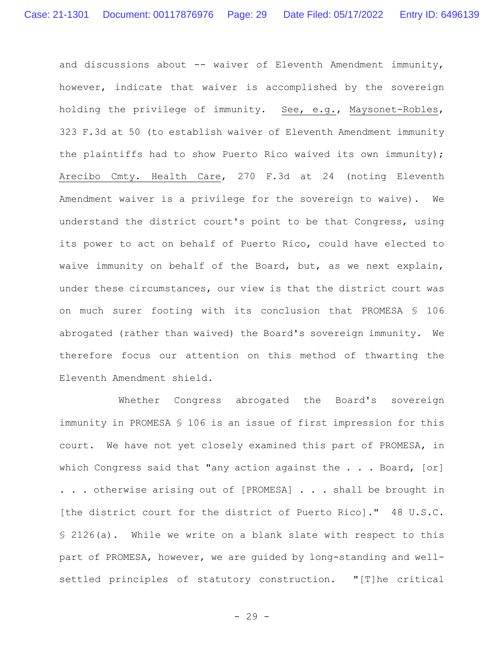and discussions about  $--$  waiver of Eleventh Amendment immunity, however, indicate that waiver is accomplished by the sovereign holding the privilege of immunity. See, e.g., Maysonet-Robles, 323 F.3d at 50 (to establish waiver of Eleventh Amendment immunity the plaintiffs had to show Puerto Rico waived its own immunity); Arecibo Cmty. Health Care, 270 F.3d at 24 (noting Eleventh Amendment waiver is a privilege for the sovereign to waive). We understand the district court's point to be that Congress, using its power to act on behalf of Puerto Rico, could have elected to waive immunity on behalf of the Board, but, as we next explain, under these circumstances, our view is that the district court was on much surer footing with its conclusion that PROMESA § 106 abrogated (rather than waived) the Board's sovereign immunity. We therefore focus our attention on this method of thwarting the Eleventh Amendment shield.

Whether Congress abrogated the Board's sovereign immunity in PROMESA § 106 is an issue of first impression for this court. We have not yet closely examined this part of PROMESA, in which Congress said that "any action against the . . . Board, [or] . . . otherwise arising out of [PROMESA] . . . shall be brought in [the district court for the district of Puerto Rico]." 48 U.S.C. § 2126(a). While we write on a blank slate with respect to this part of PROMESA, however, we are guided by long-standing and wellsettled principles of statutory construction. "[T]he critical

- 29 -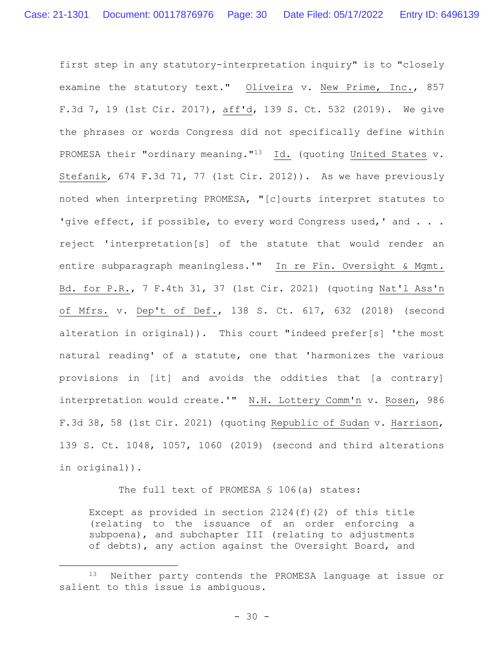first step in any statutory-interpretation inquiry" is to "closely examine the statutory text." Oliveira v. New Prime, Inc., 857 F.3d 7, 19 (1st Cir. 2017), aff'd, 139 S. Ct. 532 (2019). We give the phrases or words Congress did not specifically define within PROMESA their "ordinary meaning."13 Id. (quoting United States v. Stefanik, 674 F.3d 71, 77 (1st Cir. 2012)). As we have previously noted when interpreting PROMESA, "[c]ourts interpret statutes to 'give effect, if possible, to every word Congress used,' and . . . reject 'interpretation[s] of the statute that would render an entire subparagraph meaningless.'" In re Fin. Oversight & Mgmt. Bd. for P.R., 7 F.4th 31, 37 (1st Cir. 2021) (quoting Nat'l Ass'n of Mfrs. v. Dep't of Def., 138 S. Ct. 617, 632 (2018) (second alteration in original)). This court "indeed prefer[s] 'the most natural reading' of a statute, one that 'harmonizes the various provisions in [it] and avoids the oddities that [a contrary] interpretation would create.'" N.H. Lottery Comm'n v. Rosen, 986 F.3d 38, 58 (1st Cir. 2021) (quoting Republic of Sudan v. Harrison, 139 S. Ct. 1048, 1057, 1060 (2019) (second and third alterations in original)).

## The full text of PROMESA § 106(a) states:

Except as provided in section 2124(f)(2) of this title (relating to the issuance of an order enforcing a subpoena), and subchapter III (relating to adjustments of debts), any action against the Oversight Board, and

<sup>13</sup> Neither party contends the PROMESA language at issue or salient to this issue is ambiguous.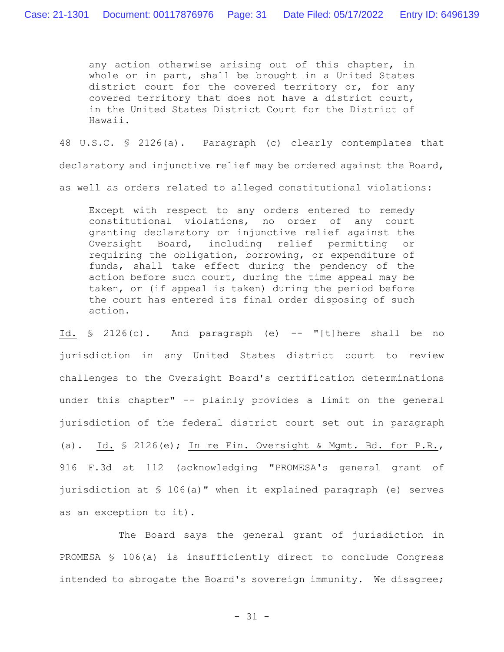any action otherwise arising out of this chapter, in whole or in part, shall be brought in a United States district court for the covered territory or, for any covered territory that does not have a district court, in the United States District Court for the District of Hawaii.

48 U.S.C. § 2126(a). Paragraph (c) clearly contemplates that declaratory and injunctive relief may be ordered against the Board, as well as orders related to alleged constitutional violations:

Except with respect to any orders entered to remedy constitutional violations, no order of any court granting declaratory or injunctive relief against the Oversight Board, including relief permitting or requiring the obligation, borrowing, or expenditure of funds, shall take effect during the pendency of the action before such court, during the time appeal may be taken, or (if appeal is taken) during the period before the court has entered its final order disposing of such action.

Id. § 2126(c). And paragraph (e) -- "[t]here shall be no jurisdiction in any United States district court to review challenges to the Oversight Board's certification determinations under this chapter" -- plainly provides a limit on the general jurisdiction of the federal district court set out in paragraph (a). Id. § 2126(e); In re Fin. Oversight & Mgmt. Bd. for P.R., 916 F.3d at 112 (acknowledging "PROMESA's general grant of jurisdiction at § 106(a)" when it explained paragraph (e) serves as an exception to it).

The Board says the general grant of jurisdiction in PROMESA § 106(a) is insufficiently direct to conclude Congress intended to abrogate the Board's sovereign immunity. We disagree;

- 31 -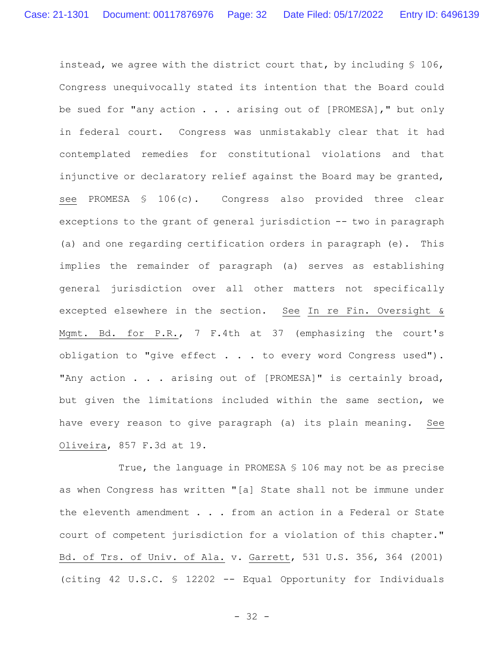instead, we agree with the district court that, by including § 106, Congress unequivocally stated its intention that the Board could be sued for "any action . . . arising out of [PROMESA]," but only in federal court. Congress was unmistakably clear that it had contemplated remedies for constitutional violations and that injunctive or declaratory relief against the Board may be granted, see PROMESA § 106(c). Congress also provided three clear exceptions to the grant of general jurisdiction -- two in paragraph (a) and one regarding certification orders in paragraph (e). This implies the remainder of paragraph (a) serves as establishing general jurisdiction over all other matters not specifically excepted elsewhere in the section. See In re Fin. Oversight & Mgmt. Bd. for P.R., 7 F.4th at 37 (emphasizing the court's obligation to "give effect . . . to every word Congress used"). "Any action . . . arising out of [PROMESA]" is certainly broad, but given the limitations included within the same section, we have every reason to give paragraph (a) its plain meaning. See Oliveira, 857 F.3d at 19.

True, the language in PROMESA § 106 may not be as precise as when Congress has written "[a] State shall not be immune under the eleventh amendment . . . from an action in a Federal or State court of competent jurisdiction for a violation of this chapter." Bd. of Trs. of Univ. of Ala. v. Garrett, 531 U.S. 356, 364 (2001) (citing 42 U.S.C. § 12202 -- Equal Opportunity for Individuals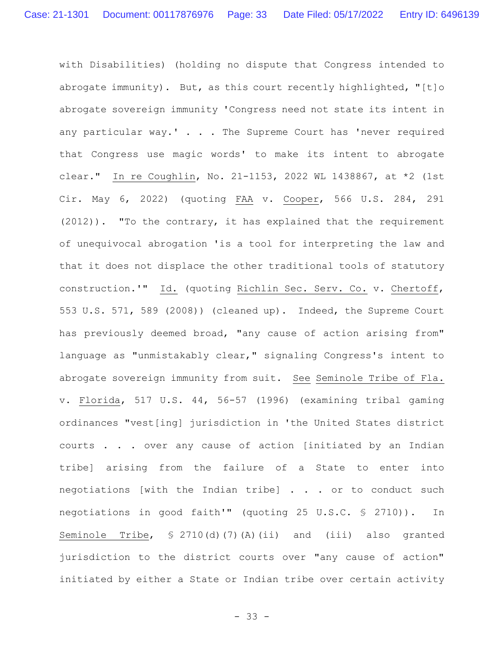with Disabilities) (holding no dispute that Congress intended to abrogate immunity). But, as this court recently highlighted, " $[t]$ o abrogate sovereign immunity 'Congress need not state its intent in any particular way.'  $\ldots$  . The Supreme Court has 'never required that Congress use magic words' to make its intent to abrogate clear." In re Coughlin, No. 21-1153, 2022 WL 1438867, at \*2 (1st Cir. May 6, 2022) (quoting FAA v. Cooper, 566 U.S. 284, 291 (2012)). "To the contrary, it has explained that the requirement of unequivocal abrogation 'is a tool for interpreting the law and that it does not displace the other traditional tools of statutory construction.'" Id. (quoting Richlin Sec. Serv. Co. v. Chertoff, 553 U.S. 571, 589 (2008)) (cleaned up). Indeed, the Supreme Court has previously deemed broad, "any cause of action arising from" language as "unmistakably clear," signaling Congress's intent to abrogate sovereign immunity from suit. See Seminole Tribe of Fla. v. Florida, 517 U.S. 44, 56-57 (1996) (examining tribal gaming ordinances "vest[ing] jurisdiction in 'the United States district courts . . . over any cause of action [initiated by an Indian tribe] arising from the failure of a State to enter into negotiations [with the Indian tribe] . . . or to conduct such negotiations in good faith'" (quoting 25 U.S.C. § 2710)). In Seminole Tribe, § 2710(d)(7)(A)(ii) and (iii) also granted jurisdiction to the district courts over "any cause of action" initiated by either a State or Indian tribe over certain activity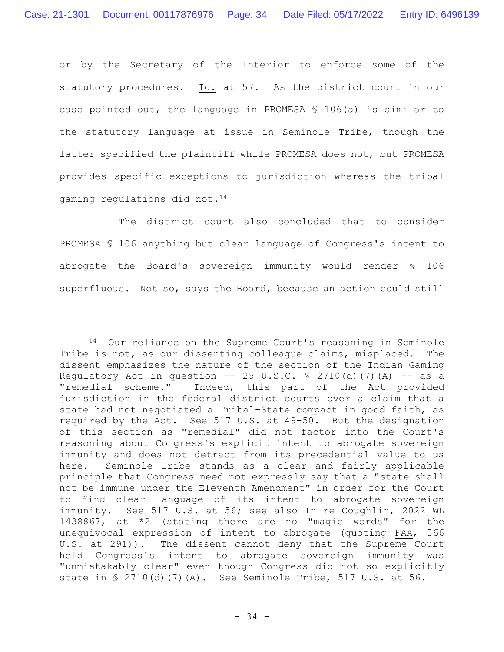or by the Secretary of the Interior to enforce some of the statutory procedures. Id. at 57. As the district court in our case pointed out, the language in PROMESA § 106(a) is similar to the statutory language at issue in Seminole Tribe, though the latter specified the plaintiff while PROMESA does not, but PROMESA provides specific exceptions to jurisdiction whereas the tribal gaming regulations did not.<sup>14</sup>

The district court also concluded that to consider PROMESA § 106 anything but clear language of Congress's intent to abrogate the Board's sovereign immunity would render § 106 superfluous. Not so, says the Board, because an action could still

<sup>14</sup> Our reliance on the Supreme Court's reasoning in Seminole Tribe is not, as our dissenting colleague claims, misplaced. The dissent emphasizes the nature of the section of the Indian Gaming Regulatory Act in question  $-$  25 U.S.C. § 2710(d)(7)(A)  $-$  as a "remedial scheme." Indeed, this part of the Act provided jurisdiction in the federal district courts over a claim that a state had not negotiated a Tribal-State compact in good faith, as required by the Act. See 517 U.S. at 49-50. But the designation of this section as "remedial" did not factor into the Court's reasoning about Congress's explicit intent to abrogate sovereign immunity and does not detract from its precedential value to us here. Seminole Tribe stands as a clear and fairly applicable principle that Congress need not expressly say that a "state shall not be immune under the Eleventh Amendment" in order for the Court to find clear language of its intent to abrogate sovereign immunity. See 517 U.S. at 56; see also In re Coughlin, 2022 WL 1438867, at \*2 (stating there are no "magic words" for the unequivocal expression of intent to abrogate (quoting FAA, 566 U.S. at 291)). The dissent cannot deny that the Supreme Court held Congress's intent to abrogate sovereign immunity was "unmistakably clear" even though Congress did not so explicitly state in § 2710(d)(7)(A). See Seminole Tribe, 517 U.S. at 56.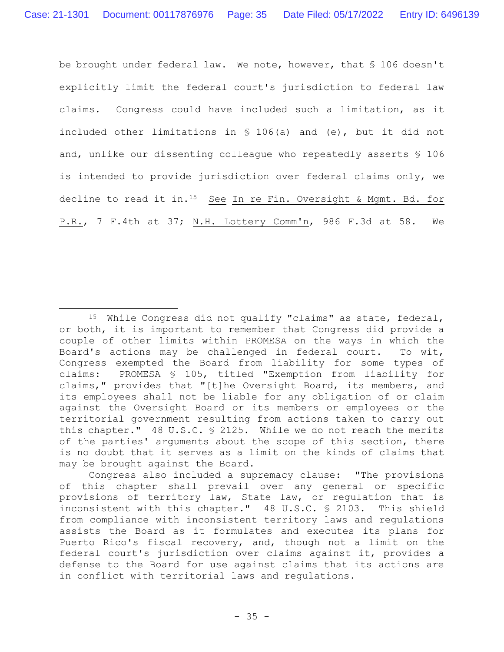be brought under federal law. We note, however, that § 106 doesn't explicitly limit the federal court's jurisdiction to federal law claims. Congress could have included such a limitation, as it included other limitations in § 106(a) and (e), but it did not and, unlike our dissenting colleague who repeatedly asserts § 106 is intended to provide jurisdiction over federal claims only, we decline to read it in.15 See In re Fin. Oversight & Mgmt. Bd. for P.R., 7 F.4th at 37; N.H. Lottery Comm'n, 986 F.3d at 58. We

 $15$  While Congress did not qualify "claims" as state, federal, or both, it is important to remember that Congress did provide a couple of other limits within PROMESA on the ways in which the Board's actions may be challenged in federal court. To wit, Congress exempted the Board from liability for some types of claims: PROMESA § 105, titled "Exemption from liability for claims," provides that "[t]he Oversight Board, its members, and its employees shall not be liable for any obligation of or claim against the Oversight Board or its members or employees or the territorial government resulting from actions taken to carry out this chapter." 48 U.S.C. § 2125. While we do not reach the merits of the parties' arguments about the scope of this section, there is no doubt that it serves as a limit on the kinds of claims that may be brought against the Board.

Congress also included a supremacy clause: "The provisions of this chapter shall prevail over any general or specific provisions of territory law, State law, or regulation that is inconsistent with this chapter." 48 U.S.C. § 2103. This shield from compliance with inconsistent territory laws and regulations assists the Board as it formulates and executes its plans for Puerto Rico's fiscal recovery, and, though not a limit on the federal court's jurisdiction over claims against it, provides a defense to the Board for use against claims that its actions are in conflict with territorial laws and regulations.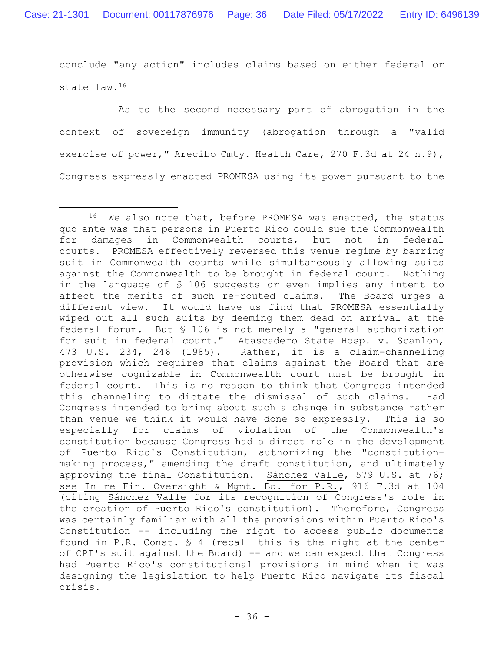conclude "any action" includes claims based on either federal or state law.<sup>16</sup>

As to the second necessary part of abrogation in the context of sovereign immunity (abrogation through a "valid exercise of power," Arecibo Cmty. Health Care, 270 F.3d at 24 n.9), Congress expressly enacted PROMESA using its power pursuant to the

<sup>&</sup>lt;sup>16</sup> We also note that, before PROMESA was enacted, the status quo ante was that persons in Puerto Rico could sue the Commonwealth for damages in Commonwealth courts, but not in federal courts. PROMESA effectively reversed this venue regime by barring suit in Commonwealth courts while simultaneously allowing suits against the Commonwealth to be brought in federal court. Nothing in the language of § 106 suggests or even implies any intent to affect the merits of such re-routed claims. The Board urges a different view. It would have us find that PROMESA essentially wiped out all such suits by deeming them dead on arrival at the federal forum. But § 106 is not merely a "general authorization for suit in federal court." Atascadero State Hosp. v. Scanlon, 473 U.S. 234, 246 (1985). Rather, it is a claim-channeling provision which requires that claims against the Board that are otherwise cognizable in Commonwealth court must be brought in federal court. This is no reason to think that Congress intended this channeling to dictate the dismissal of such claims. Had Congress intended to bring about such a change in substance rather than venue we think it would have done so expressly. This is so especially for claims of violation of the Commonwealth's constitution because Congress had a direct role in the development of Puerto Rico's Constitution, authorizing the "constitutionmaking process," amending the draft constitution, and ultimately approving the final Constitution. Sánchez Valle, 579 U.S. at 76; see In re Fin. Oversight & Mgmt. Bd. for P.R., 916 F.3d at 104 (citing Sánchez Valle for its recognition of Congress's role in the creation of Puerto Rico's constitution). Therefore, Congress was certainly familiar with all the provisions within Puerto Rico's Constitution -- including the right to access public documents found in P.R. Const. § 4 (recall this is the right at the center of CPI's suit against the Board) -- and we can expect that Congress had Puerto Rico's constitutional provisions in mind when it was designing the legislation to help Puerto Rico navigate its fiscal crisis.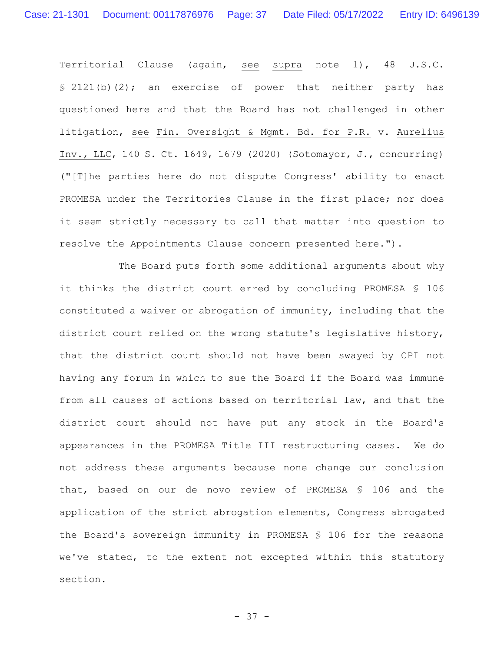Territorial Clause (again, see supra note 1), 48 U.S.C. § 2121(b)(2); an exercise of power that neither party has questioned here and that the Board has not challenged in other litigation, see Fin. Oversight & Mgmt. Bd. for P.R. v. Aurelius Inv., LLC, 140 S. Ct. 1649, 1679 (2020) (Sotomayor, J., concurring) ("[T]he parties here do not dispute Congress' ability to enact PROMESA under the Territories Clause in the first place; nor does it seem strictly necessary to call that matter into question to resolve the Appointments Clause concern presented here.").

The Board puts forth some additional arguments about why it thinks the district court erred by concluding PROMESA § 106 constituted a waiver or abrogation of immunity, including that the district court relied on the wrong statute's legislative history, that the district court should not have been swayed by CPI not having any forum in which to sue the Board if the Board was immune from all causes of actions based on territorial law, and that the district court should not have put any stock in the Board's appearances in the PROMESA Title III restructuring cases. We do not address these arguments because none change our conclusion that, based on our de novo review of PROMESA § 106 and the application of the strict abrogation elements, Congress abrogated the Board's sovereign immunity in PROMESA § 106 for the reasons we've stated, to the extent not excepted within this statutory section.

- 37 -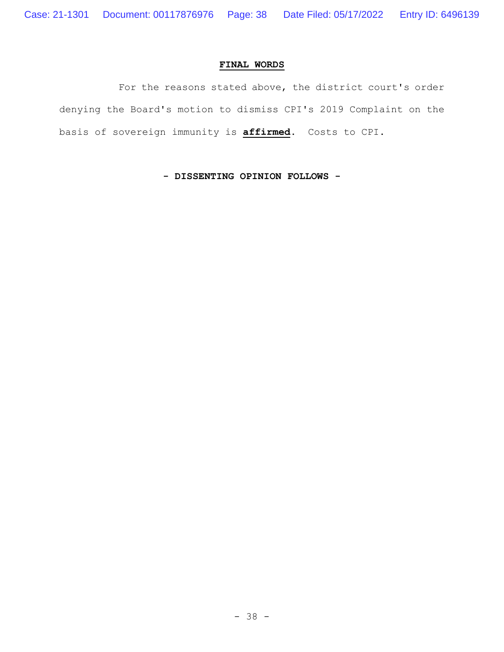## **FINAL WORDS**

For the reasons stated above, the district court's order denying the Board's motion to dismiss CPI's 2019 Complaint on the basis of sovereign immunity is **affirmed**. Costs to CPI.

**- DISSENTING OPINION FOLLOWS -**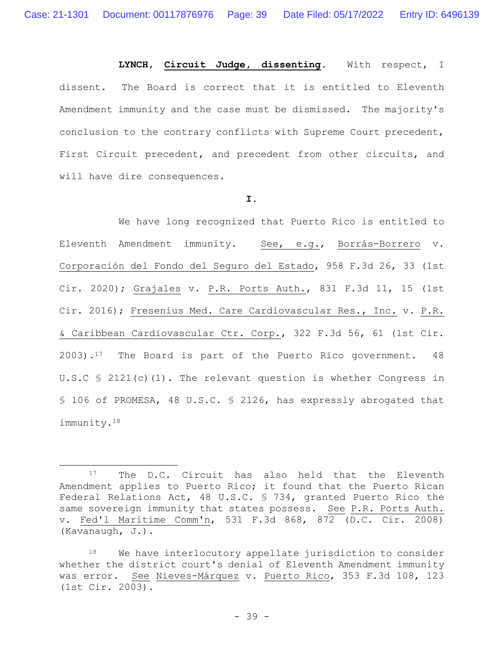**LYNCH, Circuit Judge, dissenting**. With respect, I dissent. The Board is correct that it is entitled to Eleventh Amendment immunity and the case must be dismissed. The majority's conclusion to the contrary conflicts with Supreme Court precedent, First Circuit precedent, and precedent from other circuits, and will have dire consequences.

#### **I.**

We have long recognized that Puerto Rico is entitled to Eleventh Amendment immunity. See, e.g., Borrás-Borrero v. Corporación del Fondo del Seguro del Estado, 958 F.3d 26, 33 (1st Cir. 2020); Grajales v. P.R. Ports Auth., 831 F.3d 11, 15 (1st Cir. 2016); Fresenius Med. Care Cardiovascular Res., Inc. v. P.R. & Caribbean Cardiovascular Ctr. Corp., 322 F.3d 56, 61 (1st Cir. 2003).<sup>17</sup> The Board is part of the Puerto Rico government. 48 U.S.C § 2121(c)(1). The relevant question is whether Congress in § 106 of PROMESA, 48 U.S.C. § 2126, has expressly abrogated that immunity.<sup>18</sup>

<sup>17</sup> The D.C. Circuit has also held that the Eleventh Amendment applies to Puerto Rico; it found that the Puerto Rican Federal Relations Act, 48 U.S.C. § 734, granted Puerto Rico the same sovereign immunity that states possess. See P.R. Ports Auth. v. Fed'l Maritime Comm'n, 531 F.3d 868, 872 (D.C. Cir. 2008) (Kavanaugh, J.).

<sup>18</sup> We have interlocutory appellate jurisdiction to consider whether the district court's denial of Eleventh Amendment immunity was error. See Nieves-Márquez v. Puerto Rico, 353 F.3d 108, 123 (1st Cir. 2003).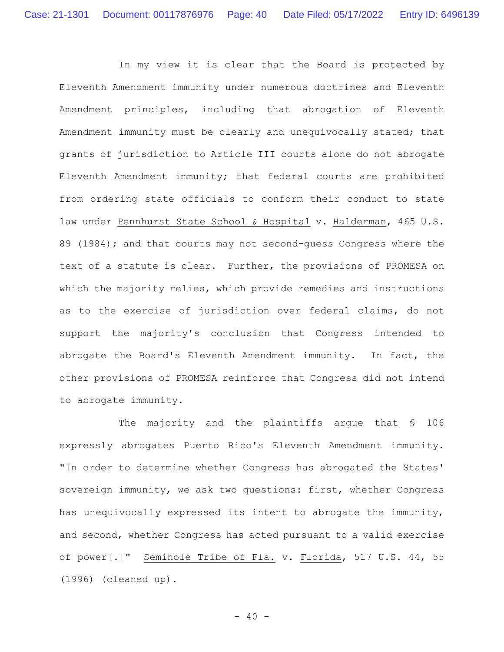In my view it is clear that the Board is protected by Eleventh Amendment immunity under numerous doctrines and Eleventh Amendment principles, including that abrogation of Eleventh Amendment immunity must be clearly and unequivocally stated; that grants of jurisdiction to Article III courts alone do not abrogate Eleventh Amendment immunity; that federal courts are prohibited from ordering state officials to conform their conduct to state law under Pennhurst State School & Hospital v. Halderman, 465 U.S. 89 (1984); and that courts may not second-guess Congress where the text of a statute is clear. Further, the provisions of PROMESA on which the majority relies, which provide remedies and instructions as to the exercise of jurisdiction over federal claims, do not support the majority's conclusion that Congress intended to abrogate the Board's Eleventh Amendment immunity. In fact, the other provisions of PROMESA reinforce that Congress did not intend to abrogate immunity.

The majority and the plaintiffs argue that \$ 106 expressly abrogates Puerto Rico's Eleventh Amendment immunity. "In order to determine whether Congress has abrogated the States' sovereign immunity, we ask two questions: first, whether Congress has unequivocally expressed its intent to abrogate the immunity, and second, whether Congress has acted pursuant to a valid exercise of power[.]" Seminole Tribe of Fla. v. Florida, 517 U.S. 44, 55 (1996) (cleaned up).

 $- 40 -$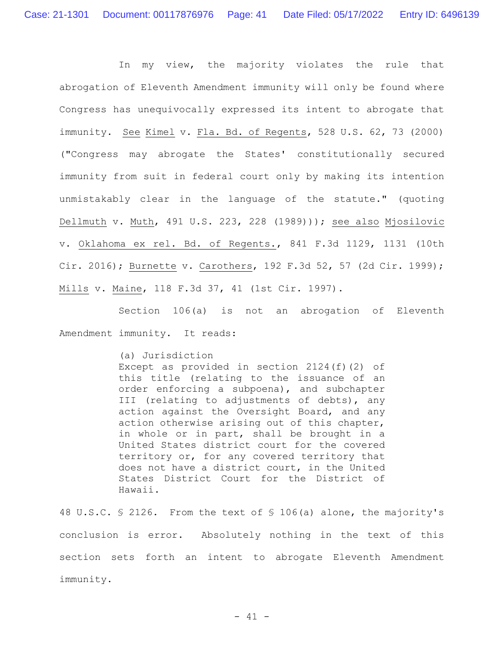In my view, the majority violates the rule that abrogation of Eleventh Amendment immunity will only be found where Congress has unequivocally expressed its intent to abrogate that immunity. See Kimel v. Fla. Bd. of Regents, 528 U.S. 62, 73 (2000) ("Congress may abrogate the States' constitutionally secured immunity from suit in federal court only by making its intention unmistakably clear in the language of the statute." (quoting Dellmuth v. Muth, 491 U.S. 223, 228 (1989))); see also Mjosilovic v. Oklahoma ex rel. Bd. of Regents., 841 F.3d 1129, 1131 (10th Cir. 2016); Burnette v. Carothers, 192 F.3d 52, 57 (2d Cir. 1999); Mills v. Maine, 118 F.3d 37, 41 (1st Cir. 1997).

Section 106(a) is not an abrogation of Eleventh Amendment immunity. It reads:

> (a) Jurisdiction Except as provided in section 2124(f)(2) of this title (relating to the issuance of an order enforcing a subpoena), and subchapter III (relating to adjustments of debts), any action against the Oversight Board, and any action otherwise arising out of this chapter, in whole or in part, shall be brought in a United States district court for the covered territory or, for any covered territory that does not have a district court, in the United States District Court for the District of Hawaii.

48 U.S.C. § 2126. From the text of § 106(a) alone, the majority's conclusion is error. Absolutely nothing in the text of this section sets forth an intent to abrogate Eleventh Amendment immunity.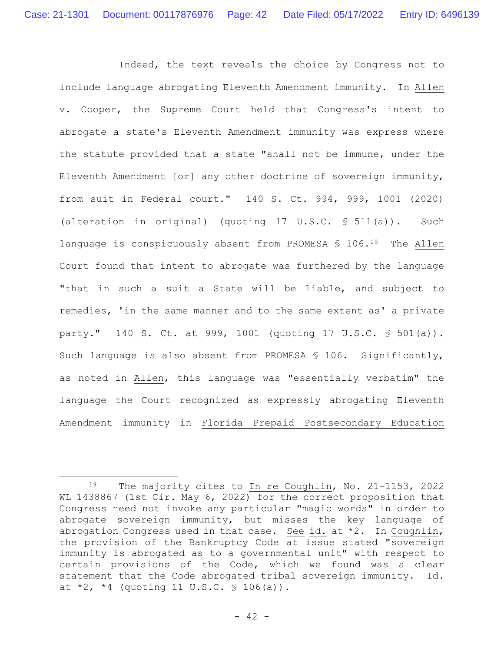Indeed, the text reveals the choice by Congress not to include language abrogating Eleventh Amendment immunity. In Allen v. Cooper, the Supreme Court held that Congress's intent to abrogate a state's Eleventh Amendment immunity was express where the statute provided that a state "shall not be immune, under the Eleventh Amendment [or] any other doctrine of sovereign immunity, from suit in Federal court." 140 S. Ct. 994, 999, 1001 (2020) (alteration in original) (quoting 17 U.S.C. § 511(a)). Such language is conspicuously absent from PROMESA § 106.<sup>19</sup> The Allen Court found that intent to abrogate was furthered by the language "that in such a suit a State will be liable, and subject to remedies, 'in the same manner and to the same extent as' a private party." 140 S. Ct. at 999, 1001 (quoting 17 U.S.C. § 501(a)). Such language is also absent from PROMESA § 106. Significantly, as noted in Allen, this language was "essentially verbatim" the language the Court recognized as expressly abrogating Eleventh Amendment immunity in Florida Prepaid Postsecondary Education

<sup>19</sup> The majority cites to In re Coughlin, No. 21-1153, 2022 WL 1438867 (1st Cir. May 6, 2022) for the correct proposition that Congress need not invoke any particular "magic words" in order to abrogate sovereign immunity, but misses the key language of abrogation Congress used in that case. See id. at \*2. In Coughlin, the provision of the Bankruptcy Code at issue stated "sovereign immunity is abrogated as to a governmental unit" with respect to certain provisions of the Code, which we found was a clear statement that the Code abrogated tribal sovereign immunity. Id. at  $*2$ ,  $*4$  (quoting 11 U.S.C. § 106(a)).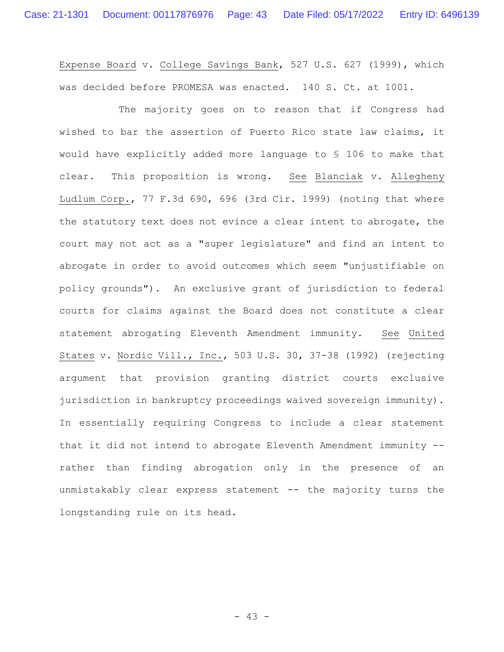Expense Board v. College Savings Bank, 527 U.S. 627 (1999), which was decided before PROMESA was enacted. 140 S. Ct. at 1001.

The majority goes on to reason that if Congress had wished to bar the assertion of Puerto Rico state law claims, it would have explicitly added more language to § 106 to make that clear. This proposition is wrong. See Blanciak v. Allegheny Ludlum Corp., 77 F.3d 690, 696 (3rd Cir. 1999) (noting that where the statutory text does not evince a clear intent to abrogate, the court may not act as a "super legislature" and find an intent to abrogate in order to avoid outcomes which seem "unjustifiable on policy grounds"). An exclusive grant of jurisdiction to federal courts for claims against the Board does not constitute a clear statement abrogating Eleventh Amendment immunity. See United States v. Nordic Vill., Inc., 503 U.S. 30, 37-38 (1992) (rejecting argument that provision granting district courts exclusive jurisdiction in bankruptcy proceedings waived sovereign immunity). In essentially requiring Congress to include a clear statement that it did not intend to abrogate Eleventh Amendment immunity - rather than finding abrogation only in the presence of an unmistakably clear express statement -- the majority turns the longstanding rule on its head.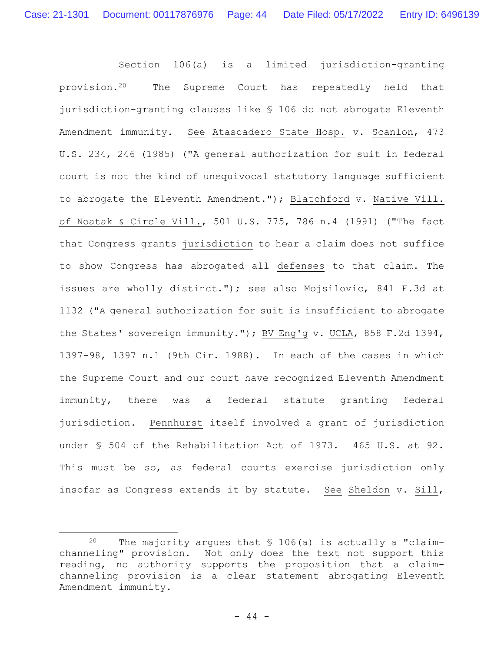Section 106(a) is a limited jurisdiction-granting provision.20 The Supreme Court has repeatedly held that jurisdiction-granting clauses like § 106 do not abrogate Eleventh Amendment immunity. See Atascadero State Hosp. v. Scanlon, 473 U.S. 234, 246 (1985) ("A general authorization for suit in federal court is not the kind of unequivocal statutory language sufficient to abrogate the Eleventh Amendment."); Blatchford v. Native Vill. of Noatak & Circle Vill., 501 U.S. 775, 786 n.4 (1991) ("The fact that Congress grants jurisdiction to hear a claim does not suffice to show Congress has abrogated all defenses to that claim. The issues are wholly distinct."); see also Mojsilovic, 841 F.3d at 1132 ("A general authorization for suit is insufficient to abrogate the States' sovereign immunity."); BV Eng'g v. UCLA, 858 F.2d 1394, 1397-98, 1397 n.1 (9th Cir. 1988). In each of the cases in which the Supreme Court and our court have recognized Eleventh Amendment immunity, there was a federal statute granting federal jurisdiction. Pennhurst itself involved a grant of jurisdiction under § 504 of the Rehabilitation Act of 1973. 465 U.S. at 92. This must be so, as federal courts exercise jurisdiction only insofar as Congress extends it by statute. See Sheldon v. Sill,

<sup>&</sup>lt;sup>20</sup> The majority argues that  $\frac{106}{a}$  is actually a "claimchanneling" provision. Not only does the text not support this reading, no authority supports the proposition that a claimchanneling provision is a clear statement abrogating Eleventh Amendment immunity.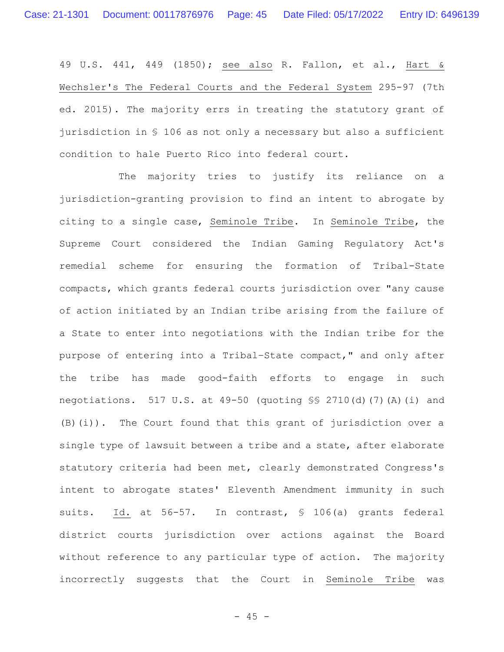49 U.S. 441, 449 (1850); see also R. Fallon, et al., Hart & Wechsler's The Federal Courts and the Federal System 295-97 (7th ed. 2015). The majority errs in treating the statutory grant of jurisdiction in § 106 as not only a necessary but also a sufficient condition to hale Puerto Rico into federal court.

The majority tries to justify its reliance on a jurisdiction-granting provision to find an intent to abrogate by citing to a single case, Seminole Tribe. In Seminole Tribe, the Supreme Court considered the Indian Gaming Regulatory Act's remedial scheme for ensuring the formation of Tribal-State compacts, which grants federal courts jurisdiction over "any cause of action initiated by an Indian tribe arising from the failure of a State to enter into negotiations with the Indian tribe for the purpose of entering into a Tribal–State compact," and only after the tribe has made good-faith efforts to engage in such negotiations. 517 U.S. at 49-50 (quoting §§ 2710(d)(7)(A)(i) and (B)(i)). The Court found that this grant of jurisdiction over a single type of lawsuit between a tribe and a state, after elaborate statutory criteria had been met, clearly demonstrated Congress's intent to abrogate states' Eleventh Amendment immunity in such suits. Id. at 56-57. In contrast, § 106(a) grants federal district courts jurisdiction over actions against the Board without reference to any particular type of action. The majority incorrectly suggests that the Court in Seminole Tribe was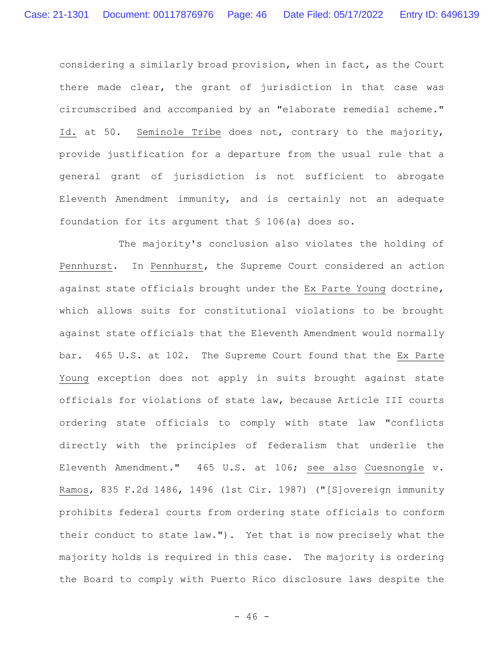considering a similarly broad provision, when in fact, as the Court there made clear, the grant of jurisdiction in that case was circumscribed and accompanied by an "elaborate remedial scheme." Id. at 50. Seminole Tribe does not, contrary to the majority, provide justification for a departure from the usual rule that a general grant of jurisdiction is not sufficient to abrogate Eleventh Amendment immunity, and is certainly not an adequate foundation for its argument that § 106(a) does so.

The majority's conclusion also violates the holding of Pennhurst. In Pennhurst, the Supreme Court considered an action against state officials brought under the Ex Parte Young doctrine, which allows suits for constitutional violations to be brought against state officials that the Eleventh Amendment would normally bar. 465 U.S. at 102. The Supreme Court found that the Ex Parte Young exception does not apply in suits brought against state officials for violations of state law, because Article III courts ordering state officials to comply with state law "conflicts directly with the principles of federalism that underlie the Eleventh Amendment." 465 U.S. at 106; see also Cuesnongle v. Ramos, 835 F.2d 1486, 1496 (1st Cir. 1987) ("[S]overeign immunity prohibits federal courts from ordering state officials to conform their conduct to state law."). Yet that is now precisely what the majority holds is required in this case. The majority is ordering the Board to comply with Puerto Rico disclosure laws despite the

 $- 46 -$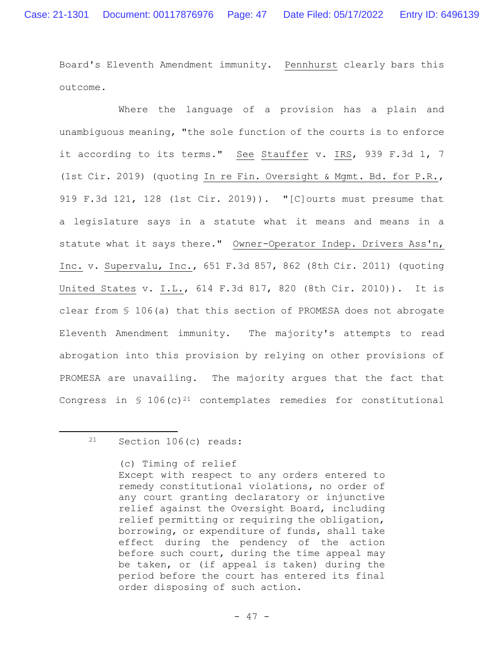Board's Eleventh Amendment immunity. Pennhurst clearly bars this outcome.

Where the language of a provision has a plain and unambiguous meaning, "the sole function of the courts is to enforce it according to its terms." See Stauffer v. IRS, 939 F.3d 1, 7 (1st Cir. 2019) (quoting In re Fin. Oversight & Mgmt. Bd. for P.R., 919 F.3d 121, 128 (1st Cir. 2019)). "[C]ourts must presume that a legislature says in a statute what it means and means in a statute what it says there." Owner-Operator Indep. Drivers Ass'n, Inc. v. Supervalu, Inc., 651 F.3d 857, 862 (8th Cir. 2011) (quoting United States v. I.L., 614 F.3d 817, 820 (8th Cir. 2010)). It is clear from § 106(a) that this section of PROMESA does not abrogate Eleventh Amendment immunity. The majority's attempts to read abrogation into this provision by relying on other provisions of PROMESA are unavailing. The majority argues that the fact that Congress in  $\frac{106}{c}$  <sup>21</sup> contemplates remedies for constitutional

<sup>21</sup> Section 106(c) reads:

<sup>(</sup>c) Timing of relief Except with respect to any orders entered to remedy constitutional violations, no order of any court granting declaratory or injunctive relief against the Oversight Board, including relief permitting or requiring the obligation, borrowing, or expenditure of funds, shall take effect during the pendency of the action before such court, during the time appeal may be taken, or (if appeal is taken) during the period before the court has entered its final order disposing of such action.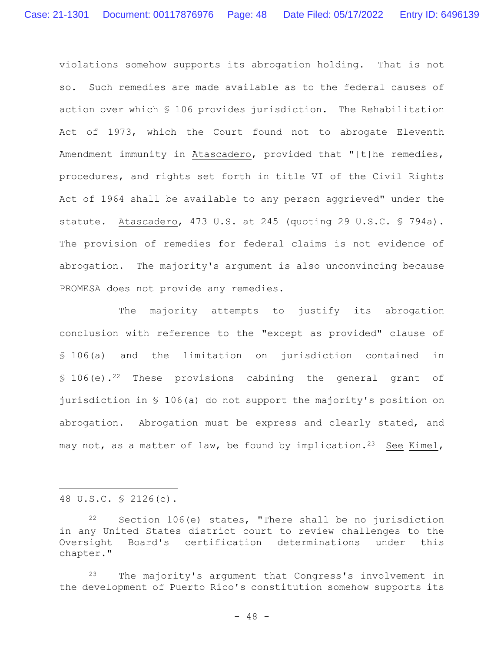violations somehow supports its abrogation holding. That is not so. Such remedies are made available as to the federal causes of action over which § 106 provides jurisdiction. The Rehabilitation Act of 1973, which the Court found not to abrogate Eleventh Amendment immunity in Atascadero, provided that "[t]he remedies, procedures, and rights set forth in title VI of the Civil Rights Act of 1964 shall be available to any person aggrieved" under the statute. Atascadero, 473 U.S. at 245 (quoting 29 U.S.C. § 794a). The provision of remedies for federal claims is not evidence of abrogation. The majority's argument is also unconvincing because PROMESA does not provide any remedies.

The majority attempts to justify its abrogation conclusion with reference to the "except as provided" clause of § 106(a) and the limitation on jurisdiction contained in § 106(e).<sup>22</sup> These provisions cabining the general grant of jurisdiction in § 106(a) do not support the majority's position on abrogation. Abrogation must be express and clearly stated, and may not, as a matter of law, be found by implication.<sup>23</sup> See Kimel,

48 U.S.C. § 2126(c).

 $22$  Section 106(e) states, "There shall be no jurisdiction in any United States district court to review challenges to the Oversight Board's certification determinations under this chapter."

<sup>23</sup> The majority's argument that Congress's involvement in the development of Puerto Rico's constitution somehow supports its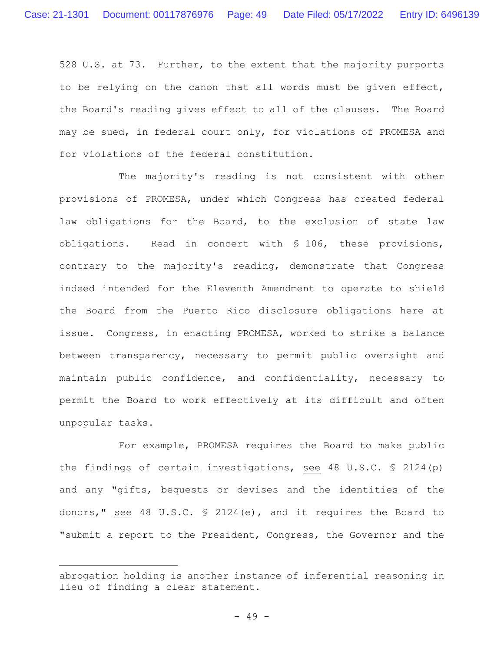528 U.S. at 73. Further, to the extent that the majority purports to be relying on the canon that all words must be given effect, the Board's reading gives effect to all of the clauses. The Board may be sued, in federal court only, for violations of PROMESA and for violations of the federal constitution.

The majority's reading is not consistent with other provisions of PROMESA, under which Congress has created federal law obligations for the Board, to the exclusion of state law obligations. Read in concert with § 106, these provisions, contrary to the majority's reading, demonstrate that Congress indeed intended for the Eleventh Amendment to operate to shield the Board from the Puerto Rico disclosure obligations here at issue. Congress, in enacting PROMESA, worked to strike a balance between transparency, necessary to permit public oversight and maintain public confidence, and confidentiality, necessary to permit the Board to work effectively at its difficult and often unpopular tasks.

For example, PROMESA requires the Board to make public the findings of certain investigations, see 48 U.S.C. § 2124(p) and any "gifts, bequests or devises and the identities of the donors," see 48 U.S.C. § 2124(e), and it requires the Board to "submit a report to the President, Congress, the Governor and the

abrogation holding is another instance of inferential reasoning in lieu of finding a clear statement.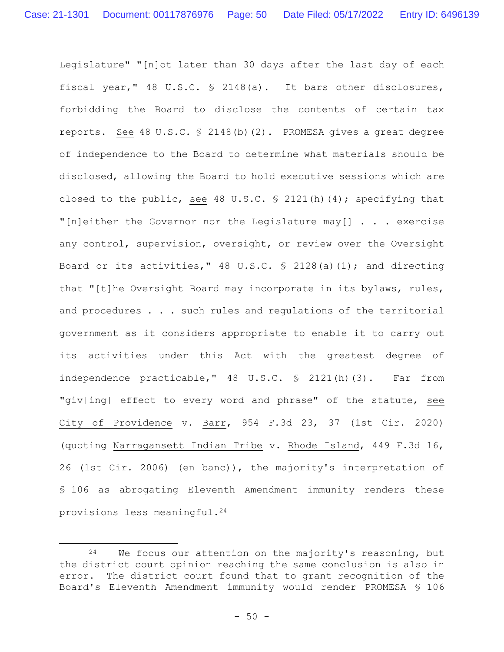Legislature" "[n]ot later than 30 days after the last day of each fiscal year," 48 U.S.C. § 2148(a). It bars other disclosures, forbidding the Board to disclose the contents of certain tax reports. See 48 U.S.C. § 2148(b)(2). PROMESA gives a great degree of independence to the Board to determine what materials should be disclosed, allowing the Board to hold executive sessions which are closed to the public, see 48 U.S.C. § 2121(h)(4); specifying that "[n]either the Governor nor the Legislature may[] . . . exercise any control, supervision, oversight, or review over the Oversight Board or its activities," 48 U.S.C. § 2128(a)(1); and directing that "[t]he Oversight Board may incorporate in its bylaws, rules, and procedures . . . such rules and regulations of the territorial government as it considers appropriate to enable it to carry out its activities under this Act with the greatest degree of independence practicable," 48 U.S.C. § 2121(h)(3). Far from "giv[ing] effect to every word and phrase" of the statute, see City of Providence v. Barr, 954 F.3d 23, 37 (1st Cir. 2020) (quoting Narragansett Indian Tribe v. Rhode Island, 449 F.3d 16, 26 (1st Cir. 2006) (en banc)), the majority's interpretation of § 106 as abrogating Eleventh Amendment immunity renders these provisions less meaningful.<sup>24</sup>

 $24$  We focus our attention on the majority's reasoning, but the district court opinion reaching the same conclusion is also in error. The district court found that to grant recognition of the Board's Eleventh Amendment immunity would render PROMESA § 106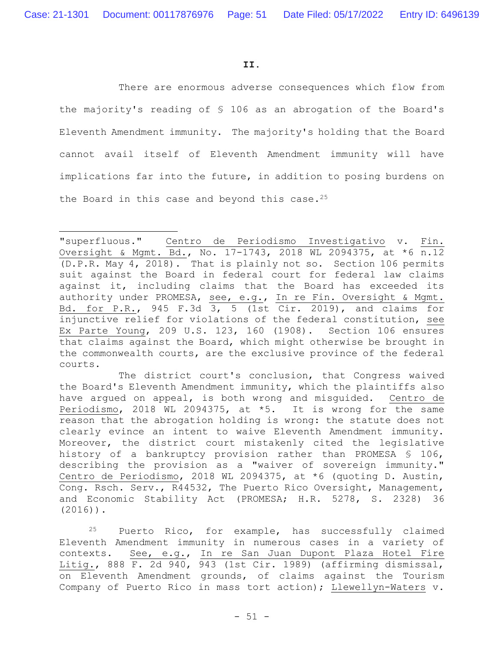#### **II.**

There are enormous adverse consequences which flow from the majority's reading of § 106 as an abrogation of the Board's Eleventh Amendment immunity. The majority's holding that the Board cannot avail itself of Eleventh Amendment immunity will have implications far into the future, in addition to posing burdens on the Board in this case and beyond this case.<sup>25</sup>

The district court's conclusion, that Congress waived the Board's Eleventh Amendment immunity, which the plaintiffs also have argued on appeal, is both wrong and misguided. Centro de Periodismo, 2018 WL 2094375, at \*5. It is wrong for the same reason that the abrogation holding is wrong: the statute does not clearly evince an intent to waive Eleventh Amendment immunity. Moreover, the district court mistakenly cited the legislative history of a bankruptcy provision rather than PROMESA § 106, describing the provision as a "waiver of sovereign immunity." Centro de Periodismo, 2018 WL 2094375, at \*6 (quoting D. Austin, Cong. Rsch. Serv., R44532, The Puerto Rico Oversight, Management, and Economic Stability Act (PROMESA; H.R. 5278, S. 2328) 36 (2016)).

<sup>25</sup> Puerto Rico, for example, has successfully claimed Eleventh Amendment immunity in numerous cases in a variety of contexts. See, e.g., In re San Juan Dupont Plaza Hotel Fire Litig., 888 F. 2d 940, 943 (1st Cir. 1989) (affirming dismissal, on Eleventh Amendment grounds, of claims against the Tourism Company of Puerto Rico in mass tort action); Llewellyn-Waters v.

<sup>&</sup>quot;superfluous." Centro de Periodismo Investigativo v. Fin. Oversight & Mgmt. Bd., No. 17-1743, 2018 WL 2094375, at \*6 n.12 (D.P.R. May 4, 2018). That is plainly not so. Section 106 permits suit against the Board in federal court for federal law claims against it, including claims that the Board has exceeded its authority under PROMESA, see, e.g., In re Fin. Oversight & Mgmt. Bd. for P.R., 945 F.3d 3, 5 (1st Cir. 2019), and claims for injunctive relief for violations of the federal constitution, see Ex Parte Young, 209 U.S. 123, 160 (1908). Section 106 ensures that claims against the Board, which might otherwise be brought in the commonwealth courts, are the exclusive province of the federal courts.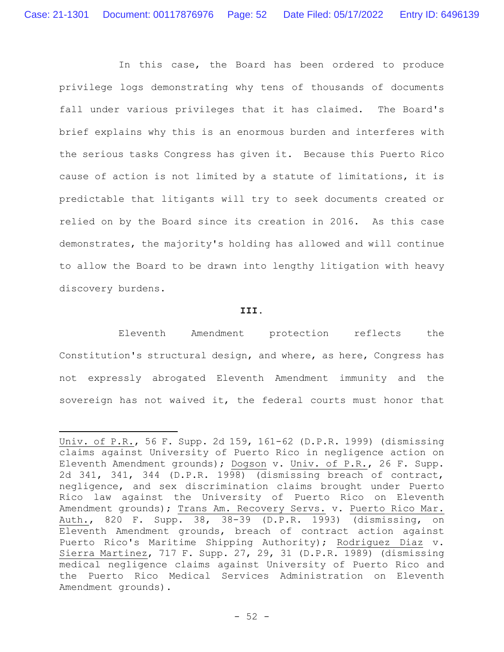In this case, the Board has been ordered to produce privilege logs demonstrating why tens of thousands of documents fall under various privileges that it has claimed. The Board's brief explains why this is an enormous burden and interferes with the serious tasks Congress has given it. Because this Puerto Rico cause of action is not limited by a statute of limitations, it is predictable that litigants will try to seek documents created or relied on by the Board since its creation in 2016. As this case demonstrates, the majority's holding has allowed and will continue to allow the Board to be drawn into lengthy litigation with heavy discovery burdens.

#### **III.**

Eleventh Amendment protection reflects the Constitution's structural design, and where, as here, Congress has not expressly abrogated Eleventh Amendment immunity and the sovereign has not waived it, the federal courts must honor that

Univ. of P.R., 56 F. Supp. 2d 159, 161-62 (D.P.R. 1999) (dismissing claims against University of Puerto Rico in negligence action on Eleventh Amendment grounds); Dogson v. Univ. of P.R., 26 F. Supp. 2d 341, 341, 344 (D.P.R. 1998) (dismissing breach of contract, negligence, and sex discrimination claims brought under Puerto Rico law against the University of Puerto Rico on Eleventh Amendment grounds); Trans Am. Recovery Servs. v. Puerto Rico Mar. Auth., 820 F. Supp. 38, 38-39 (D.P.R. 1993) (dismissing, on Eleventh Amendment grounds, breach of contract action against Puerto Rico's Maritime Shipping Authority); Rodriguez Diaz v. Sierra Martinez, 717 F. Supp. 27, 29, 31 (D.P.R. 1989) (dismissing medical negligence claims against University of Puerto Rico and the Puerto Rico Medical Services Administration on Eleventh Amendment grounds).